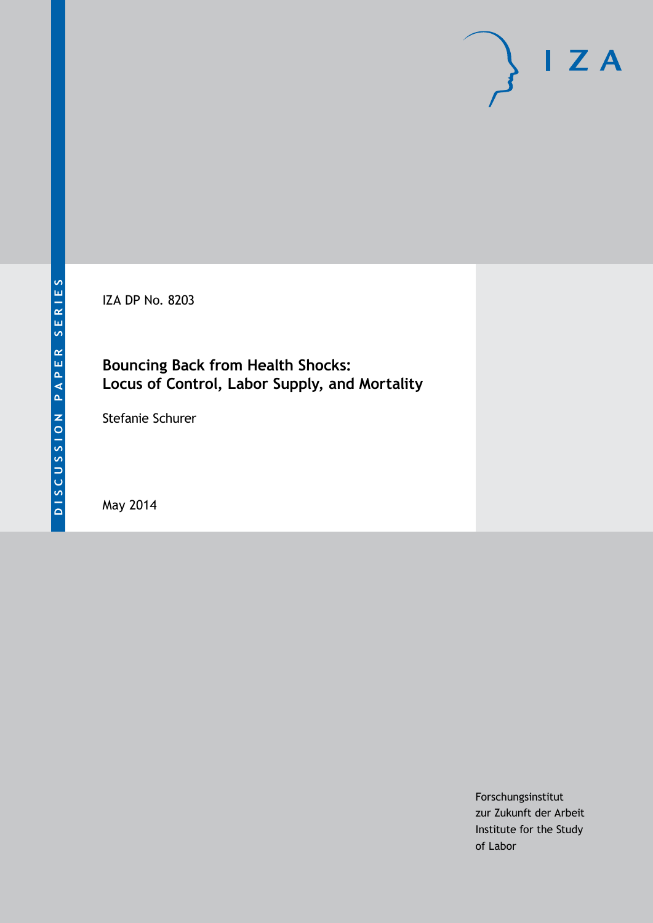IZA DP No. 8203

## **Bouncing Back from Health Shocks: Locus of Control, Labor Supply, and Mortality**

Stefanie Schurer

May 2014

Forschungsinstitut zur Zukunft der Arbeit Institute for the Study of Labor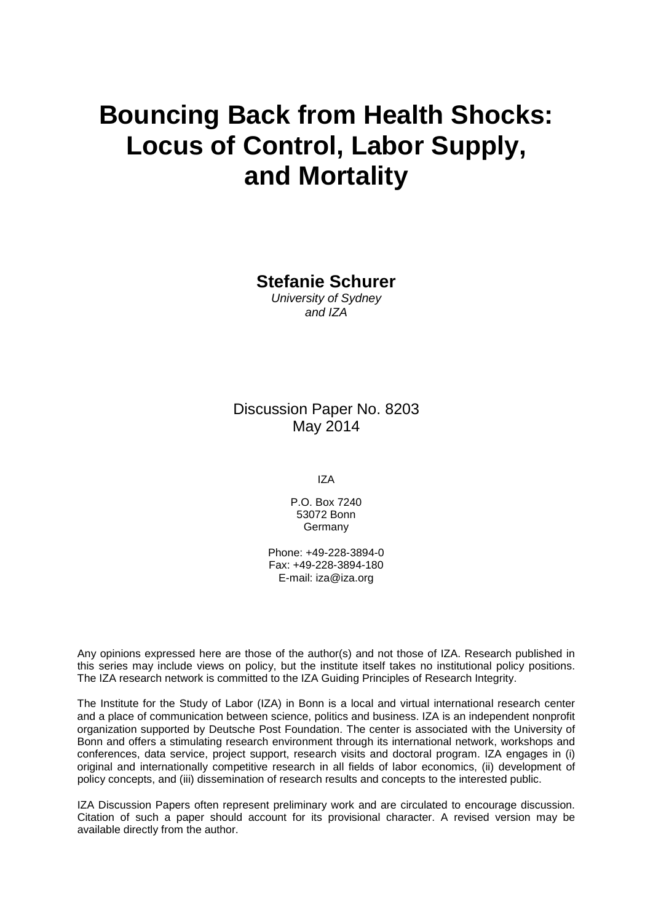# **Bouncing Back from Health Shocks: Locus of Control, Labor Supply, and Mortality**

**Stefanie Schurer**

*University of Sydney and IZA*

Discussion Paper No. 8203 May 2014

IZA

P.O. Box 7240 53072 Bonn **Germany** 

Phone: +49-228-3894-0 Fax: +49-228-3894-180 E-mail: [iza@iza.org](mailto:iza@iza.org)

Any opinions expressed here are those of the author(s) and not those of IZA. Research published in this series may include views on policy, but the institute itself takes no institutional policy positions. The IZA research network is committed to the IZA Guiding Principles of Research Integrity.

The Institute for the Study of Labor (IZA) in Bonn is a local and virtual international research center and a place of communication between science, politics and business. IZA is an independent nonprofit organization supported by Deutsche Post Foundation. The center is associated with the University of Bonn and offers a stimulating research environment through its international network, workshops and conferences, data service, project support, research visits and doctoral program. IZA engages in (i) original and internationally competitive research in all fields of labor economics, (ii) development of policy concepts, and (iii) dissemination of research results and concepts to the interested public.

<span id="page-1-0"></span>IZA Discussion Papers often represent preliminary work and are circulated to encourage discussion. Citation of such a paper should account for its provisional character. A revised version may be available directly from the author.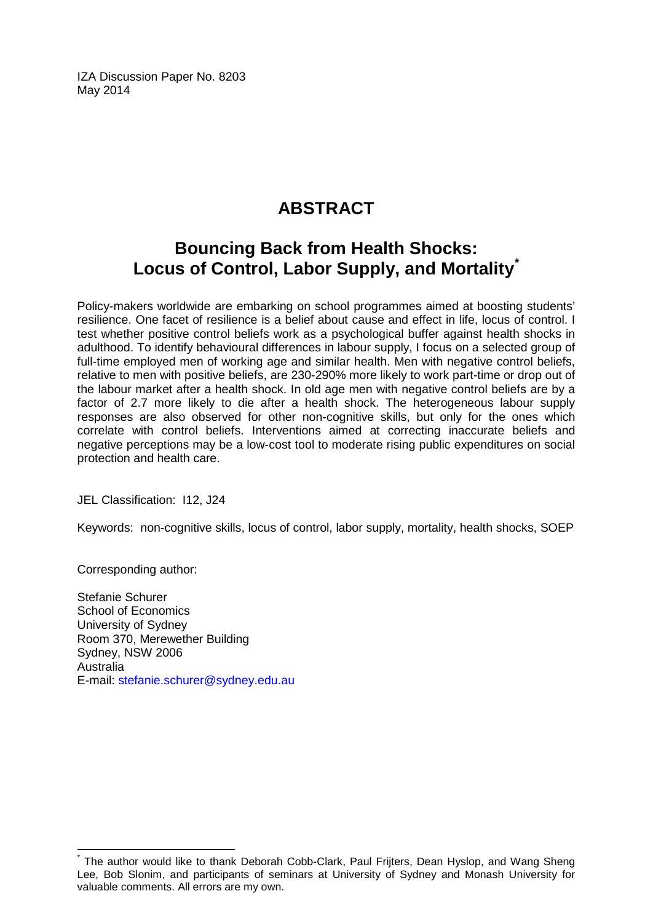IZA Discussion Paper No. 8203 May 2014

# **ABSTRACT**

# **Bouncing Back from Health Shocks: Locus of Control, Labor Supply, and Mortality[\\*](#page-1-0)**

Policy-makers worldwide are embarking on school programmes aimed at boosting students' resilience. One facet of resilience is a belief about cause and effect in life, locus of control. I test whether positive control beliefs work as a psychological buffer against health shocks in adulthood. To identify behavioural differences in labour supply, I focus on a selected group of full-time employed men of working age and similar health. Men with negative control beliefs, relative to men with positive beliefs, are 230-290% more likely to work part-time or drop out of the labour market after a health shock. In old age men with negative control beliefs are by a factor of 2.7 more likely to die after a health shock. The heterogeneous labour supply responses are also observed for other non-cognitive skills, but only for the ones which correlate with control beliefs. Interventions aimed at correcting inaccurate beliefs and negative perceptions may be a low-cost tool to moderate rising public expenditures on social protection and health care.

JEL Classification: I12, J24

Keywords: non-cognitive skills, locus of control, labor supply, mortality, health shocks, SOEP

Corresponding author:

Stefanie Schurer School of Economics University of Sydney Room 370, Merewether Building Sydney, NSW 2006 Australia E-mail: [stefanie.schurer@sydney.edu.au](mailto:stefanie.schurer@sydney.edu.au)

The author would like to thank Deborah Cobb-Clark, Paul Frijters, Dean Hyslop, and Wang Sheng Lee, Bob Slonim, and participants of seminars at University of Sydney and Monash University for valuable comments. All errors are my own.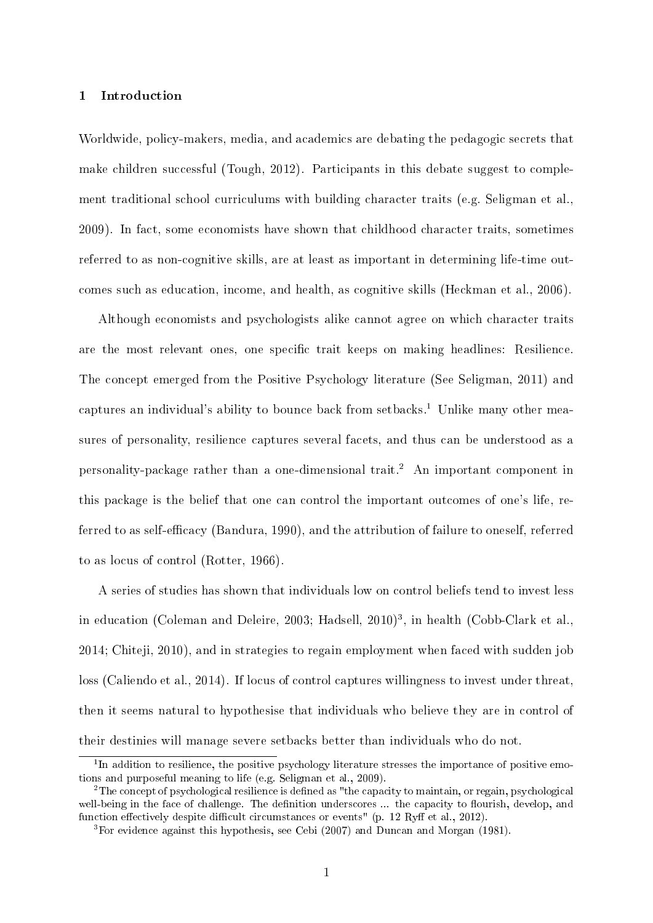#### 1 Introduction

Worldwide, policy-makers, media, and academics are debating the pedagogic secrets that make children successful (Tough, 2012). Participants in this debate suggest to complement traditional school curriculums with building character traits (e.g. Seligman et al., 2009). In fact, some economists have shown that childhood character traits, sometimes referred to as non-cognitive skills, are at least as important in determining life-time outcomes such as education, income, and health, as cognitive skills (Heckman et al., 2006).

Although economists and psychologists alike cannot agree on which character traits are the most relevant ones, one specific trait keeps on making headlines: Resilience. The concept emerged from the Positive Psychology literature (See Seligman, 2011) and captures an individual's ability to bounce back from setbacks.<sup>1</sup> Unlike many other measures of personality, resilience captures several facets, and thus can be understood as a personality-package rather than a one-dimensional trait.<sup>2</sup> An important component in this package is the belief that one can control the important outcomes of one's life, referred to as self-efficacy (Bandura, 1990), and the attribution of failure to oneself, referred to as locus of control (Rotter, 1966).

A series of studies has shown that individuals low on control beliefs tend to invest less in education (Coleman and Deleire, 2003; Hadsell, 2010)<sup>3</sup>, in health (Cobb-Clark et al., 2014; Chiteji, 2010), and in strategies to regain employment when faced with sudden job loss (Caliendo et al., 2014). If locus of control captures willingness to invest under threat, then it seems natural to hypothesise that individuals who believe they are in control of their destinies will manage severe setbacks better than individuals who do not.

<sup>&</sup>lt;sup>1</sup>In addition to resilience, the positive psychology literature stresses the importance of positive emotions and purposeful meaning to life (e.g. Seligman et al., 2009).

<sup>&</sup>lt;sup>2</sup>The concept of psychological resilience is defined as "the capacity to maintain, or regain, psychological well-being in the face of challenge. The definition underscores ... the capacity to flourish, develop, and function effectively despite difficult circumstances or events" (p. 12 Ryff et al., 2012).

<sup>3</sup>For evidence against this hypothesis, see Cebi (2007) and Duncan and Morgan (1981).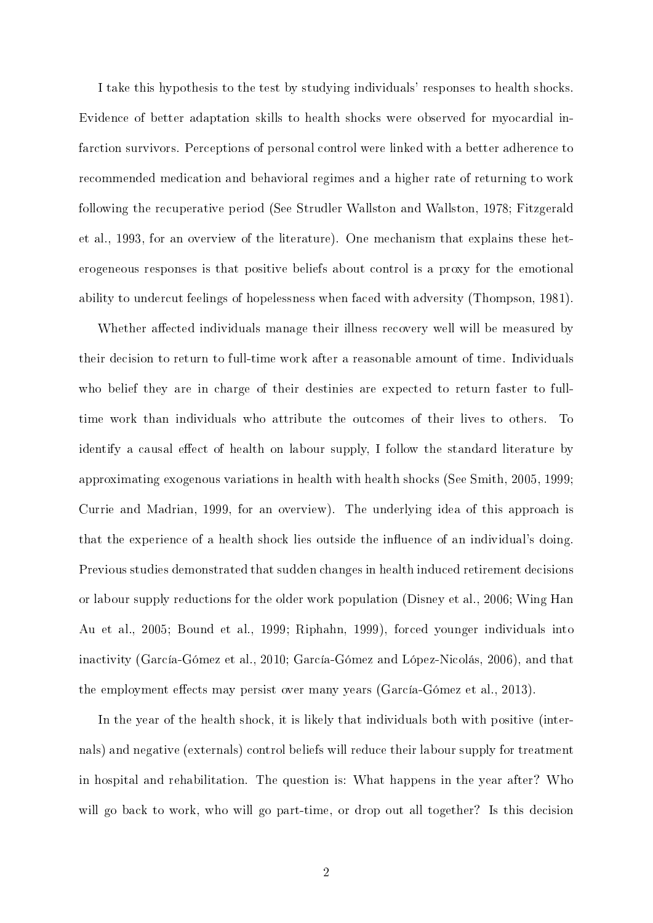I take this hypothesis to the test by studying individuals' responses to health shocks. Evidence of better adaptation skills to health shocks were observed for myocardial infarction survivors. Perceptions of personal control were linked with a better adherence to recommended medication and behavioral regimes and a higher rate of returning to work following the recuperative period (See Strudler Wallston and Wallston, 1978; Fitzgerald et al., 1993, for an overview of the literature). One mechanism that explains these heterogeneous responses is that positive beliefs about control is a proxy for the emotional ability to undercut feelings of hopelessness when faced with adversity (Thompson, 1981).

Whether affected individuals manage their illness recovery well will be measured by their decision to return to full-time work after a reasonable amount of time. Individuals who belief they are in charge of their destinies are expected to return faster to fulltime work than individuals who attribute the outcomes of their lives to others. To identify a causal effect of health on labour supply, I follow the standard literature by approximating exogenous variations in health with health shocks (See Smith, 2005, 1999; Currie and Madrian, 1999, for an overview). The underlying idea of this approach is that the experience of a health shock lies outside the influence of an individual's doing. Previous studies demonstrated that sudden changes in health induced retirement decisions or labour supply reductions for the older work population (Disney et al., 2006; Wing Han Au et al., 2005; Bound et al., 1999; Riphahn, 1999), forced younger individuals into inactivity (García-Gómez et al., 2010; García-Gómez and López-Nicolás, 2006), and that the employment effects may persist over many years (García-Gómez et al., 2013).

In the year of the health shock, it is likely that individuals both with positive (internals) and negative (externals) control beliefs will reduce their labour supply for treatment in hospital and rehabilitation. The question is: What happens in the year after? Who will go back to work, who will go part-time, or drop out all together? Is this decision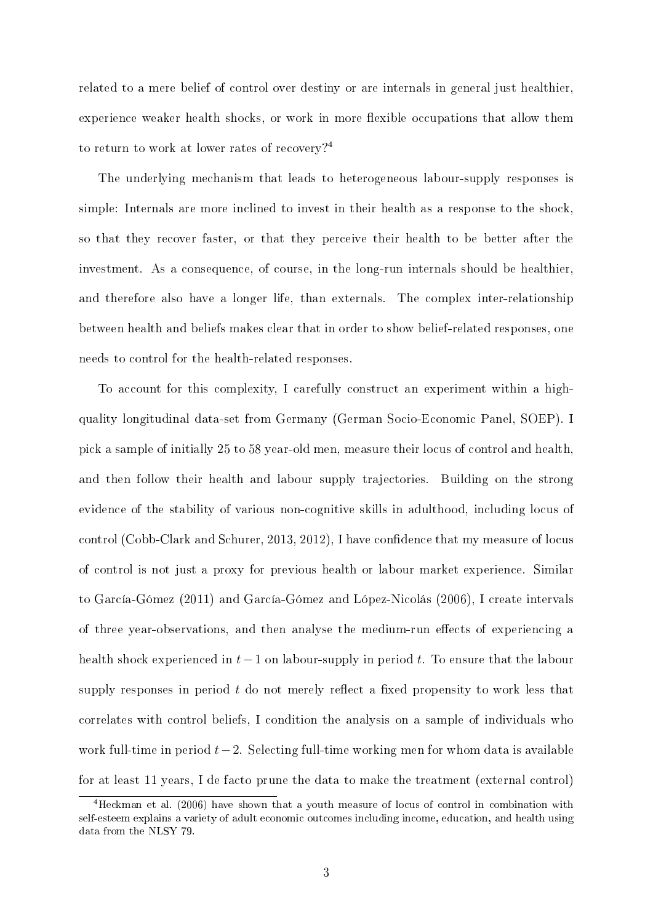related to a mere belief of control over destiny or are internals in general just healthier, experience weaker health shocks, or work in more flexible occupations that allow them to return to work at lower rates of recovery?<sup>4</sup>

The underlying mechanism that leads to heterogeneous labour-supply responses is simple: Internals are more inclined to invest in their health as a response to the shock, so that they recover faster, or that they perceive their health to be better after the investment. As a consequence, of course, in the long-run internals should be healthier, and therefore also have a longer life, than externals. The complex inter-relationship between health and beliefs makes clear that in order to show belief-related responses, one needs to control for the health-related responses.

To account for this complexity, I carefully construct an experiment within a highquality longitudinal data-set from Germany (German Socio-Economic Panel, SOEP). I pick a sample of initially 25 to 58 year-old men, measure their locus of control and health, and then follow their health and labour supply trajectories. Building on the strong evidence of the stability of various non-cognitive skills in adulthood, including locus of control (Cobb-Clark and Schurer, 2013, 2012), I have confidence that my measure of locus of control is not just a proxy for previous health or labour market experience. Similar to García-Gómez (2011) and García-Gómez and López-Nicolás (2006), I create intervals of three year-observations, and then analyse the medium-run effects of experiencing a health shock experienced in *t−*1 on labour-supply in period *t*. To ensure that the labour supply responses in period  $t$  do not merely reflect a fixed propensity to work less that correlates with control beliefs, I condition the analysis on a sample of individuals who work full-time in period *t−*2. Selecting full-time working men for whom data is available for at least 11 years, I de facto prune the data to make the treatment (external control)

<sup>4</sup>Heckman et al. (2006) have shown that a youth measure of locus of control in combination with self-esteem explains a variety of adult economic outcomes including income, education, and health using data from the NLSY 79.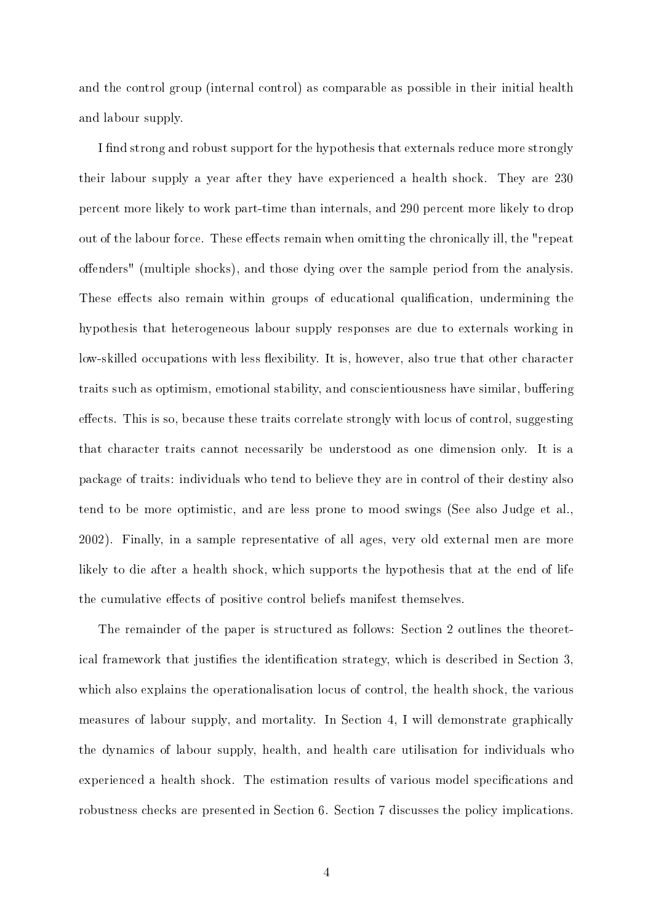and the control group (internal control) as comparable as possible in their initial health and labour supply.

I find strong and robust support for the hypothesis that externals reduce more strongly their labour supply a year after they have experienced a health shock. They are 230 percent more likely to work part-time than internals, and 290 percent more likely to drop out of the labour force. These effects remain when omitting the chronically ill, the "repeat" offenders" (multiple shocks), and those dying over the sample period from the analysis. These effects also remain within groups of educational qualification, undermining the hypothesis that heterogeneous labour supply responses are due to externals working in low-skilled occupations with less flexibility. It is, however, also true that other character traits such as optimism, emotional stability, and conscientiousness have similar, buffering effects. This is so, because these traits correlate strongly with locus of control, suggesting that character traits cannot necessarily be understood as one dimension only. It is a package of traits: individuals who tend to believe they are in control of their destiny also tend to be more optimistic, and are less prone to mood swings (See also Judge et al., 2002). Finally, in a sample representative of all ages, very old external men are more likely to die after a health shock, which supports the hypothesis that at the end of life the cumulative effects of positive control beliefs manifest themselves.

The remainder of the paper is structured as follows: Section 2 outlines the theoretical framework that justifies the identification strategy, which is described in Section 3, which also explains the operationalisation locus of control, the health shock, the various measures of labour supply, and mortality. In Section 4, I will demonstrate graphically the dynamics of labour supply, health, and health care utilisation for individuals who experienced a health shock. The estimation results of various model specifications and robustness checks are presented in Section 6. Section 7 discusses the policy implications.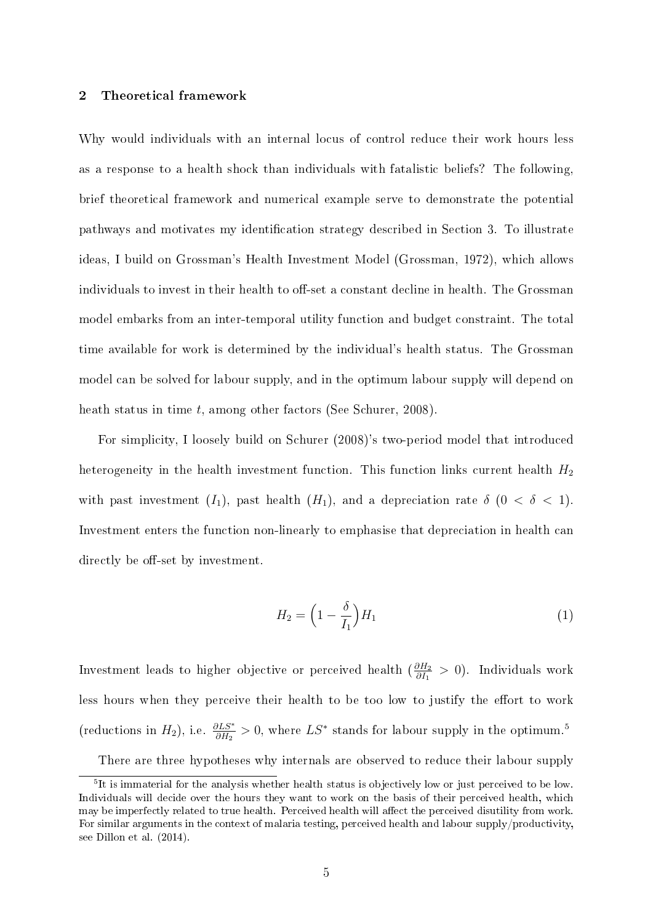#### 2 Theoretical framework

Why would individuals with an internal locus of control reduce their work hours less as a response to a health shock than individuals with fatalistic beliefs? The following, brief theoretical framework and numerical example serve to demonstrate the potential pathways and motivates my identification strategy described in Section 3. To illustrate ideas, I build on Grossman's Health Investment Model (Grossman, 1972), which allows individuals to invest in their health to off-set a constant decline in health. The Grossman model embarks from an inter-temporal utility function and budget constraint. The total time available for work is determined by the individual's health status. The Grossman model can be solved for labour supply, and in the optimum labour supply will depend on heath status in time *t*, among other factors (See Schurer, 2008).

For simplicity, I loosely build on Schurer (2008)'s two-period model that introduced heterogeneity in the health investment function. This function links current health  $H_2$ with past investment  $(I_1)$ , past health  $(H_1)$ , and a depreciation rate  $\delta$  ( $0 < \delta < 1$ ). Investment enters the function non-linearly to emphasise that depreciation in health can directly be off-set by investment.

$$
H_2 = \left(1 - \frac{\delta}{I_1}\right)H_1\tag{1}
$$

Investment leads to higher objective or perceived health ( *∂H*<sup>2</sup> *∂I*<sup>1</sup> *>* 0). Individuals work less hours when they perceive their health to be too low to justify the effort to work (reductions in  $H_2$ ), i.e.  $\frac{\partial LS^*}{\partial H_2} > 0$ , where  $LS^*$  stands for labour supply in the optimum.<sup>5</sup>

There are three hypotheses why internals are observed to reduce their labour supply

 $5$ It is immaterial for the analysis whether health status is objectively low or just perceived to be low. Individuals will decide over the hours they want to work on the basis of their perceived health, which may be imperfectly related to true health. Perceived health will affect the perceived disutility from work. For similar arguments in the context of malaria testing, perceived health and labour supply/productivity, see Dillon et al. (2014).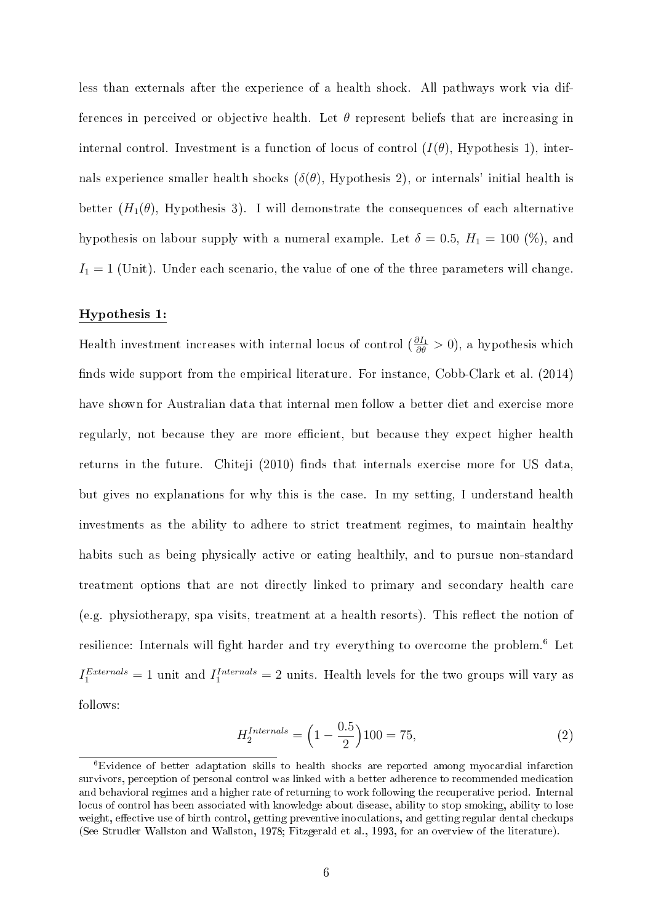less than externals after the experience of a health shock. All pathways work via differences in perceived or objective health. Let  $\theta$  represent beliefs that are increasing in internal control. Investment is a function of locus of control  $(I(\theta), H$ ypothesis 1), internals experience smaller health shocks  $(\delta(\theta), H_{\text{vpothesis}})$ , or internals' initial health is better  $(H_1(\theta), H_y)$  Hypothesis 3). I will demonstrate the consequences of each alternative hypothesis on labour supply with a numeral example. Let  $\delta = 0.5$ ,  $H_1 = 100$  (%), and  $I_1 = 1$  (Unit). Under each scenario, the value of one of the three parameters will change.

#### Hypothesis 1:

Health investment increases with internal locus of control  $(\frac{\partial I_1}{\partial \theta} > 0)$ , a hypothesis which finds wide support from the empirical literature. For instance,  $Cobb-Clark$  et al.  $(2014)$ have shown for Australian data that internal men follow a better diet and exercise more regularly, not because they are more efficient, but because they expect higher health returns in the future. Chiteji (2010) finds that internals exercise more for US data, but gives no explanations for why this is the case. In my setting, I understand health investments as the ability to adhere to strict treatment regimes, to maintain healthy habits such as being physically active or eating healthily, and to pursue non-standard treatment options that are not directly linked to primary and secondary health care  $(e.g. physical energy, spa visits, treatment at a health resorts). This reflect the notion of$ resilience: Internals will fight harder and try everything to overcome the problem.<sup>6</sup> Let  $I_1^{Externals} = 1$  unit and  $I_1^{Internals} = 2$  units. Health levels for the two groups will vary as follows:

$$
H_2^{Internals} = \left(1 - \frac{0.5}{2}\right)100 = 75,\tag{2}
$$

<sup>6</sup>Evidence of better adaptation skills to health shocks are reported among myocardial infarction survivors, perception of personal control was linked with a better adherence to recommended medication and behavioral regimes and a higher rate of returning to work following the recuperative period. Internal locus of control has been associated with knowledge about disease, ability to stop smoking, ability to lose weight, effective use of birth control, getting preventive inoculations, and getting regular dental checkups (See Strudler Wallston and Wallston, 1978; Fitzgerald et al., 1993, for an overview of the literature).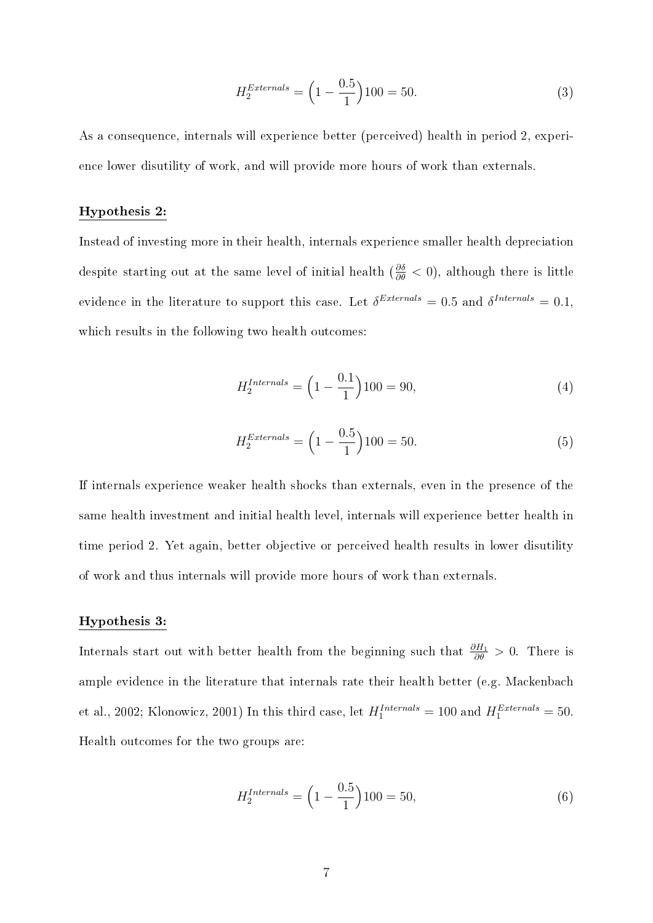$$
H_2^{Externals} = \left(1 - \frac{0.5}{1}\right)100 = 50.
$$
 (3)

As a consequence, internals will experience better (perceived) health in period 2, experience lower disutility of work, and will provide more hours of work than externals.

#### Hypothesis 2:

Instead of investing more in their health, internals experience smaller health depreciation despite starting out at the same level of initial health ( $\frac{\partial \delta}{\partial \theta} < 0$ ), although there is little evidence in the literature to support this case. Let  $\delta^{Externals} = 0.5$  and  $\delta^{Internals} = 0.1$ , which results in the following two health outcomes:

$$
H_2^{Internals} = \left(1 - \frac{0.1}{1}\right)100 = 90,\tag{4}
$$

$$
H_2^{Externals} = \left(1 - \frac{0.5}{1}\right)100 = 50.
$$
 (5)

If internals experience weaker health shocks than externals, even in the presence of the same health investment and initial health level, internals will experience better health in time period 2. Yet again, better objective or perceived health results in lower disutility of work and thus internals will provide more hours of work than externals.

#### Hypothesis 3:

Internals start out with better health from the beginning such that *∂H*<sup>1</sup> *∂θ >* 0. There is ample evidence in the literature that internals rate their health better (e.g. Mackenbach et al., 2002; Klonowicz, 2001) In this third case, let  $H_1^{Internals} = 100$  and  $H_1^{Externals} = 50$ . Health outcomes for the two groups are:

$$
H_2^{Internals} = \left(1 - \frac{0.5}{1}\right)100 = 50,\tag{6}
$$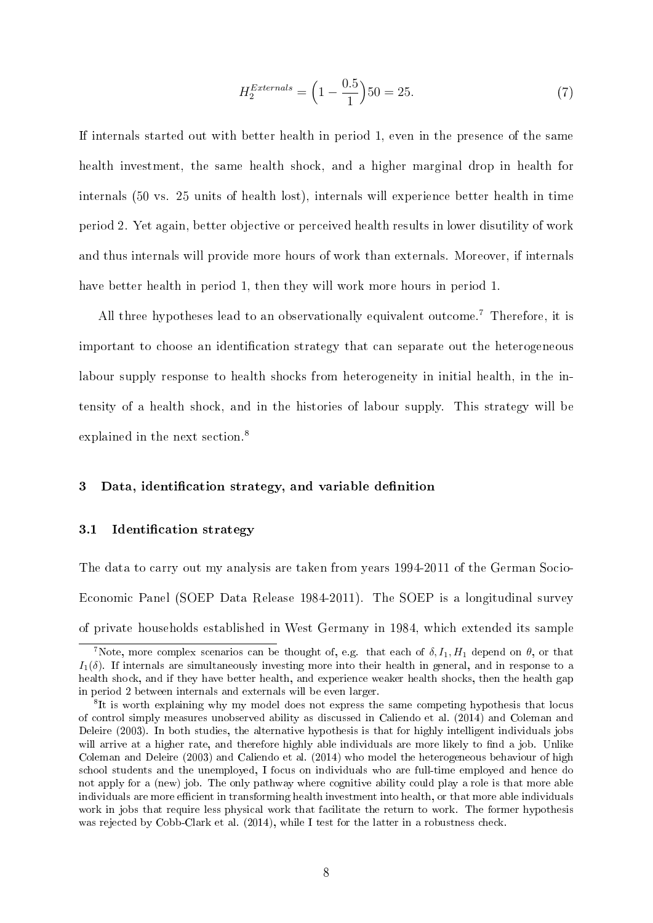$$
H_2^{Externals} = \left(1 - \frac{0.5}{1}\right)50 = 25.
$$
 (7)

If internals started out with better health in period 1, even in the presence of the same health investment, the same health shock, and a higher marginal drop in health for internals (50 vs. 25 units of health lost), internals will experience better health in time period 2. Yet again, better objective or perceived health results in lower disutility of work and thus internals will provide more hours of work than externals. Moreover, if internals have better health in period 1, then they will work more hours in period 1.

All three hypotheses lead to an observationally equivalent outcome.<sup>7</sup> Therefore, it is important to choose an identification strategy that can separate out the heterogeneous labour supply response to health shocks from heterogeneity in initial health, in the intensity of a health shock, and in the histories of labour supply. This strategy will be explained in the next section.<sup>8</sup>

#### 3 Data, identification strategy, and variable definition

#### 3.1 Identification strategy

The data to carry out my analysis are taken from years 1994-2011 of the German Socio-Economic Panel (SOEP Data Release 1984-2011). The SOEP is a longitudinal survey of private households established in West Germany in 1984, which extended its sample

<sup>&</sup>lt;sup>7</sup>Note, more complex scenarios can be thought of, e.g. that each of  $\delta$ ,  $I_1$ ,  $H_1$  depend on  $\theta$ , or that  $I_1(\delta)$ . If internals are simultaneously investing more into their health in general, and in response to a health shock, and if they have better health, and experience weaker health shocks, then the health gap in period 2 between internals and externals will be even larger.

<sup>&</sup>lt;sup>8</sup>It is worth explaining why my model does not express the same competing hypothesis that locus of control simply measures unobserved ability as discussed in Caliendo et al. (2014) and Coleman and Deleire (2003). In both studies, the alternative hypothesis is that for highly intelligent individuals jobs will arrive at a higher rate, and therefore highly able individuals are more likely to find a job. Unlike Coleman and Deleire (2003) and Caliendo et al. (2014) who model the heterogeneous behaviour of high school students and the unemployed, I focus on individuals who are full-time employed and hence do not apply for a (new) job. The only pathway where cognitive ability could play a role is that more able individuals are more efficient in transforming health investment into health, or that more able individuals work in jobs that require less physical work that facilitate the return to work. The former hypothesis was rejected by Cobb-Clark et al. (2014), while I test for the latter in a robustness check.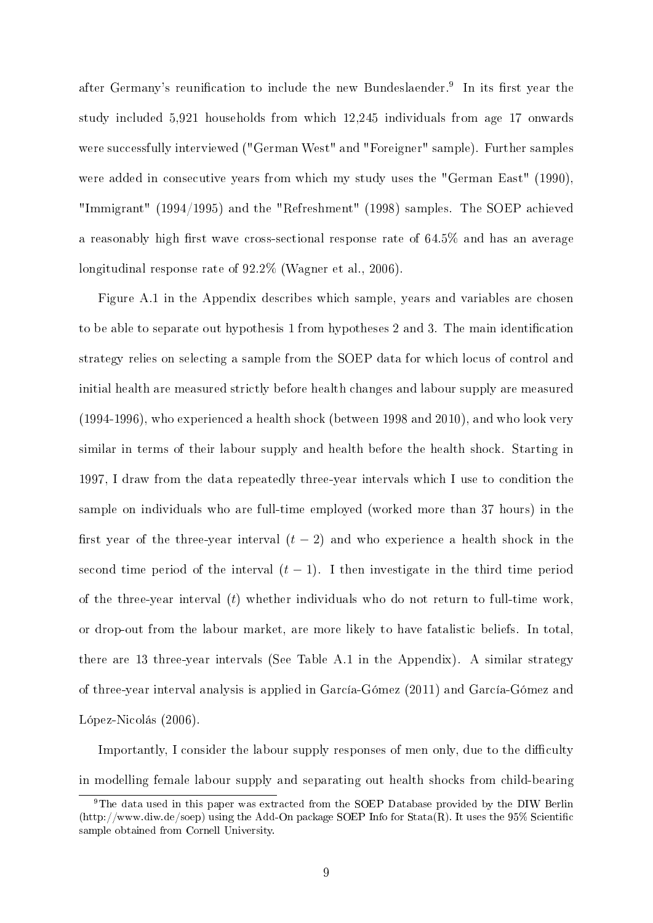after Germany's reunification to include the new Bundeslaender.<sup>9</sup> In its first year the study included 5,921 households from which 12,245 individuals from age 17 onwards were successfully interviewed ("German West" and "Foreigner" sample). Further samples were added in consecutive years from which my study uses the "German East" (1990), "Immigrant" (1994/1995) and the "Refreshment" (1998) samples. The SOEP achieved a reasonably high first wave cross-sectional response rate of  $64.5\%$  and has an average longitudinal response rate of  $92.2\%$  (Wagner et al., 2006).

Figure A.1 in the Appendix describes which sample, years and variables are chosen to be able to separate out hypothesis 1 from hypotheses 2 and 3. The main identification strategy relies on selecting a sample from the SOEP data for which locus of control and initial health are measured strictly before health changes and labour supply are measured (1994-1996), who experienced a health shock (between 1998 and 2010), and who look very similar in terms of their labour supply and health before the health shock. Starting in 1997, I draw from the data repeatedly three-year intervals which I use to condition the sample on individuals who are full-time employed (worked more than 37 hours) in the first year of the three-year interval  $(t-2)$  and who experience a health shock in the second time period of the interval  $(t-1)$ . I then investigate in the third time period of the three-year interval (*t*) whether individuals who do not return to full-time work, or drop-out from the labour market, are more likely to have fatalistic beliefs. In total, there are 13 three-year intervals (See Table A.1 in the Appendix). A similar strategy of three-year interval analysis is applied in García-Gómez (2011) and García-Gómez and López-Nicolás (2006).

Importantly, I consider the labour supply responses of men only, due to the difficulty in modelling female labour supply and separating out health shocks from child-bearing

<sup>9</sup>The data used in this paper was extracted from the SOEP Database provided by the DIW Berlin (http://www.diw.de/soep) using the Add-On package SOEP Info for Stata(R). It uses the 95% Scientic sample obtained from Cornell University.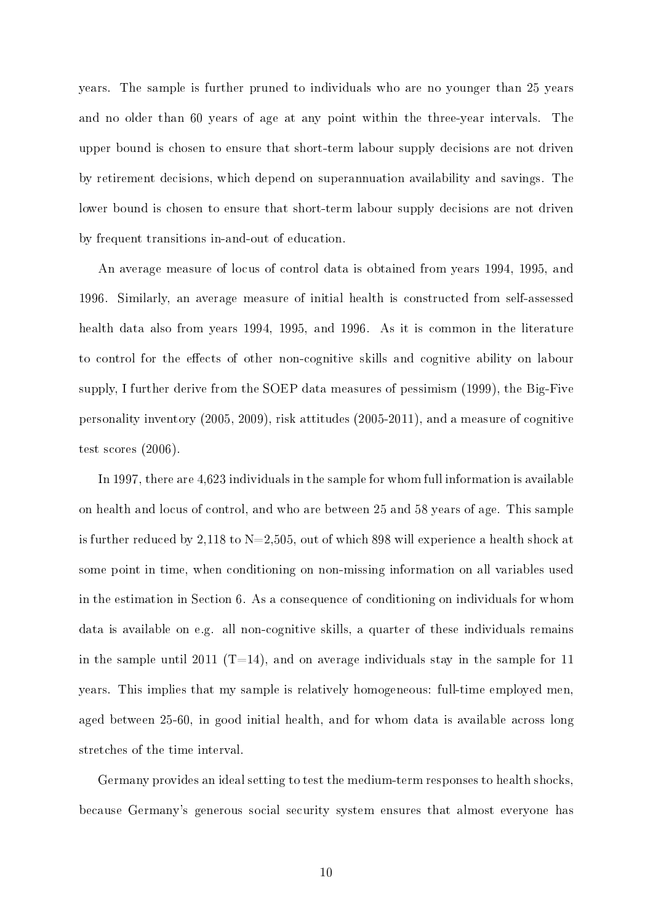years. The sample is further pruned to individuals who are no younger than 25 years and no older than 60 years of age at any point within the three-year intervals. The upper bound is chosen to ensure that short-term labour supply decisions are not driven by retirement decisions, which depend on superannuation availability and savings. The lower bound is chosen to ensure that short-term labour supply decisions are not driven by frequent transitions in-and-out of education.

An average measure of locus of control data is obtained from years 1994, 1995, and 1996. Similarly, an average measure of initial health is constructed from self-assessed health data also from years 1994, 1995, and 1996. As it is common in the literature to control for the effects of other non-cognitive skills and cognitive ability on labour supply, I further derive from the SOEP data measures of pessimism (1999), the Big-Five personality inventory (2005, 2009), risk attitudes (2005-2011), and a measure of cognitive test scores (2006).

In 1997, there are 4,623 individuals in the sample for whom full information is available on health and locus of control, and who are between 25 and 58 years of age. This sample is further reduced by 2,118 to  $N=2,505$ , out of which 898 will experience a health shock at some point in time, when conditioning on non-missing information on all variables used in the estimation in Section 6. As a consequence of conditioning on individuals for whom data is available on e.g. all non-cognitive skills, a quarter of these individuals remains in the sample until 2011 (T=14), and on average individuals stay in the sample for 11 years. This implies that my sample is relatively homogeneous: full-time employed men, aged between 25-60, in good initial health, and for whom data is available across long stretches of the time interval.

Germany provides an ideal setting to test the medium-term responses to health shocks, because Germany's generous social security system ensures that almost everyone has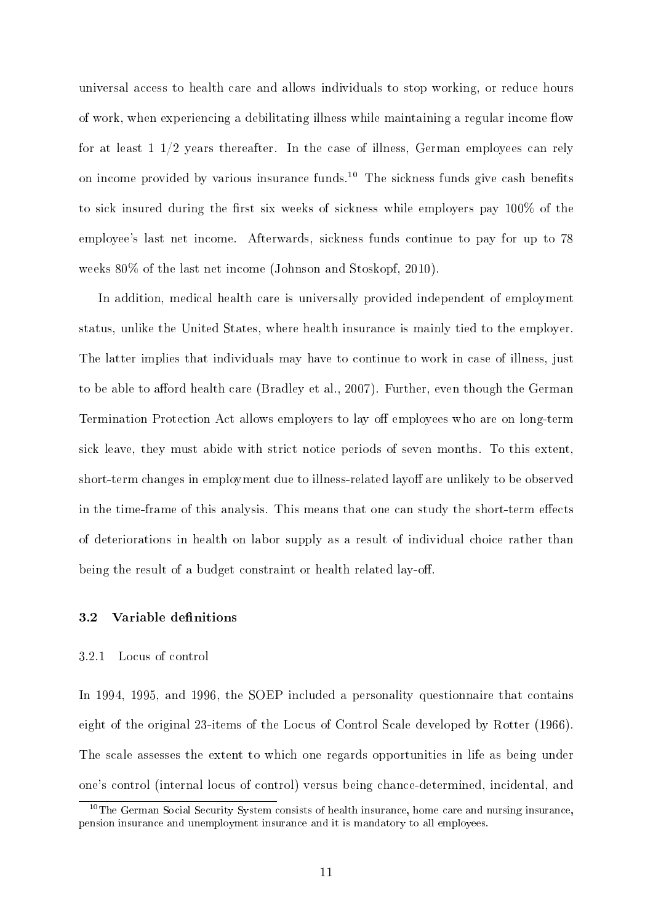universal access to health care and allows individuals to stop working, or reduce hours of work, when experiencing a debilitating illness while maintaining a regular income flow for at least 1 1/2 years thereafter. In the case of illness, German employees can rely on income provided by various insurance funds.<sup>10</sup> The sickness funds give cash benefits to sick insured during the first six weeks of sickness while employers pay  $100\%$  of the employee's last net income. Afterwards, sickness funds continue to pay for up to 78 weeks 80% of the last net income (Johnson and Stoskopf, 2010).

In addition, medical health care is universally provided independent of employment status, unlike the United States, where health insurance is mainly tied to the employer. The latter implies that individuals may have to continue to work in case of illness, just to be able to afford health care (Bradley et al., 2007). Further, even though the German Termination Protection Act allows employers to lay off employees who are on long-term sick leave, they must abide with strict notice periods of seven months. To this extent, short-term changes in employment due to illness-related layoff are unlikely to be observed in the time-frame of this analysis. This means that one can study the short-term effects of deteriorations in health on labor supply as a result of individual choice rather than being the result of a budget constraint or health related lay-off.

### 3.2 Variable definitions

#### 3.2.1 Locus of control

In 1994, 1995, and 1996, the SOEP included a personality questionnaire that contains eight of the original 23-items of the Locus of Control Scale developed by Rotter (1966). The scale assesses the extent to which one regards opportunities in life as being under one's control (internal locus of control) versus being chance-determined, incidental, and

<sup>&</sup>lt;sup>10</sup>The German Social Security System consists of health insurance, home care and nursing insurance, pension insurance and unemployment insurance and it is mandatory to all employees.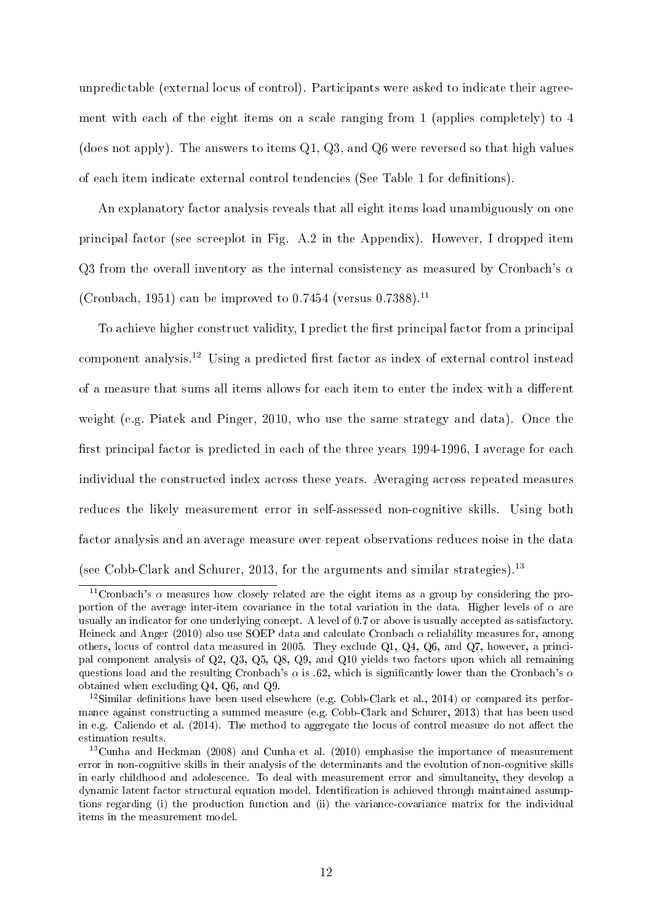unpredictable (external locus of control). Participants were asked to indicate their agreement with each of the eight items on a scale ranging from 1 (applies completely) to 4 (does not apply). The answers to items Q1, Q3, and Q6 were reversed so that high values of each item indicate external control tendencies (See Table 1 for denitions).

An explanatory factor analysis reveals that all eight items load unambiguously on one principal factor (see screeplot in Fig. A.2 in the Appendix). However, I dropped item Q3 from the overall inventory as the internal consistency as measured by Cronbach's *α* (Cronbach, 1951) can be improved to  $0.7454$  (versus  $0.7388$ ).<sup>11</sup>

To achieve higher construct validity, I predict the first principal factor from a principal component analysis.<sup>12</sup> Using a predicted first factor as index of external control instead of a measure that sums all items allows for each item to enter the index with a different weight (e.g. Piatek and Pinger, 2010, who use the same strategy and data). Once the first principal factor is predicted in each of the three years 1994-1996, I average for each individual the constructed index across these years. Averaging across repeated measures reduces the likely measurement error in self-assessed non-cognitive skills. Using both factor analysis and an average measure over repeat observations reduces noise in the data (see Cobb-Clark and Schurer, 2013, for the arguments and similar strategies).<sup>13</sup>

<sup>&</sup>lt;sup>11</sup>Cronbach's  $\alpha$  measures how closely related are the eight items as a group by considering the proportion of the average inter-item covariance in the total variation in the data. Higher levels of *α* are usually an indicator for one underlying concept. A level of 0.7 or above is usually accepted as satisfactory. Heineck and Anger (2010) also use SOEP data and calculate Cronbach *α* reliability measures for, among others, locus of control data measured in 2005. They exclude Q1, Q4, Q6, and Q7, however, a principal component analysis of Q2, Q3, Q5, Q8, Q9, and Q10 yields two factors upon which all remaining questions load and the resulting Cronbach's *α* is .62, which is signicantly lower than the Cronbach's *α* obtained when excluding Q4, Q6, and Q9.

<sup>&</sup>lt;sup>12</sup>Similar definitions have been used elsewhere (e.g. Cobb-Clark et al., 2014) or compared its performance against constructing a summed measure (e.g. Cobb-Clark and Schurer, 2013) that has been used in e.g. Caliendo et al.  $(2014)$ . The method to aggregate the locus of control measure do not affect the estimation results.

<sup>13</sup>Cunha and Heckman (2008) and Cunha et al. (2010) emphasise the importance of measurement error in non-cognitive skills in their analysis of the determinants and the evolution of non-cognitive skills in early childhood and adolescence. To deal with measurement error and simultaneity, they develop a dynamic latent factor structural equation model. Identification is achieved through maintained assumptions regarding (i) the production function and (ii) the variance-covariance matrix for the individual items in the measurement model.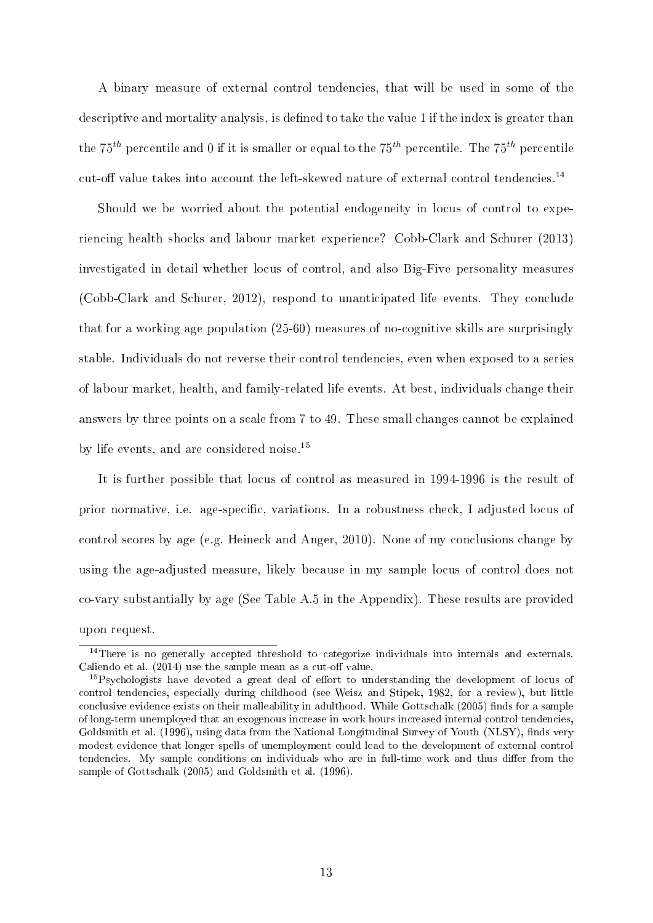A binary measure of external control tendencies, that will be used in some of the descriptive and mortality analysis, is defined to take the value 1 if the index is greater than the 75*th* percentile and 0 if it is smaller or equal to the 75*th* percentile. The 75*th* percentile cut-off value takes into account the left-skewed nature of external control tendencies.<sup>14</sup>

Should we be worried about the potential endogeneity in locus of control to experiencing health shocks and labour market experience? Cobb-Clark and Schurer (2013) investigated in detail whether locus of control, and also Big-Five personality measures (Cobb-Clark and Schurer, 2012), respond to unanticipated life events. They conclude that for a working age population (25-60) measures of no-cognitive skills are surprisingly stable. Individuals do not reverse their control tendencies, even when exposed to a series of labour market, health, and family-related life events. At best, individuals change their answers by three points on a scale from 7 to 49. These small changes cannot be explained by life events, and are considered noise.<sup>15</sup>

It is further possible that locus of control as measured in 1994-1996 is the result of prior normative, i.e. age-specific, variations. In a robustness check, I adjusted locus of control scores by age (e.g. Heineck and Anger, 2010). None of my conclusions change by using the age-adjusted measure, likely because in my sample locus of control does not co-vary substantially by age (See Table A.5 in the Appendix). These results are provided upon request.

<sup>&</sup>lt;sup>14</sup>There is no generally accepted threshold to categorize individuals into internals and externals. Caliendo et al.  $(2014)$  use the sample mean as a cut-off value.

 $15$ Psychologists have devoted a great deal of effort to understanding the development of locus of control tendencies, especially during childhood (see Weisz and Stipek, 1982, for a review), but little conclusive evidence exists on their malleability in adulthood. While Gottschalk (2005) finds for a sample of long-term unemployed that an exogenous increase in work hours increased internal control tendencies, Goldsmith et al. (1996), using data from the National Longitudinal Survey of Youth (NLSY), finds very modest evidence that longer spells of unemployment could lead to the development of external control tendencies. My sample conditions on individuals who are in full-time work and thus differ from the sample of Gottschalk (2005) and Goldsmith et al. (1996).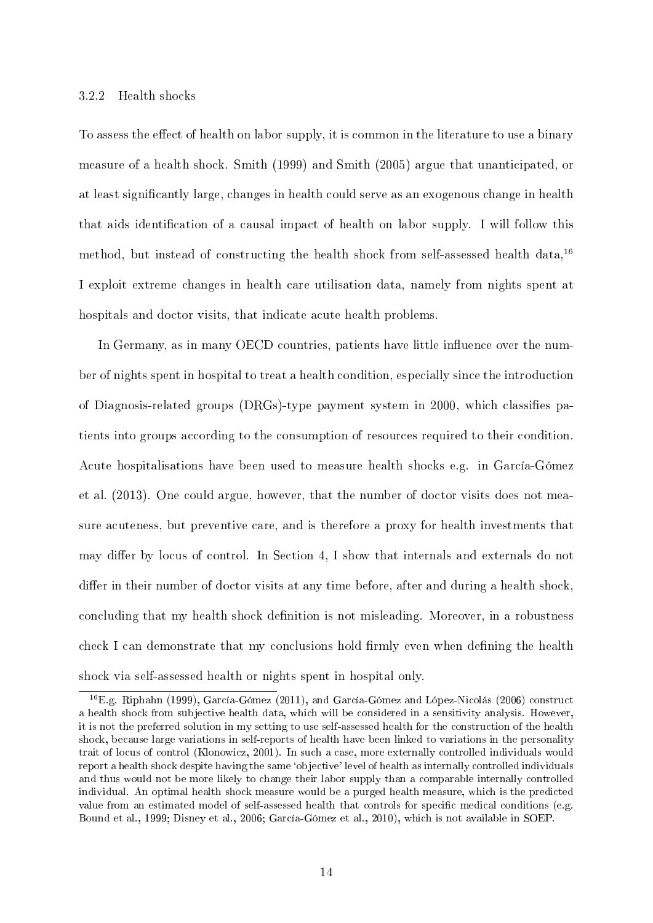#### 3.2.2 Health shocks

To assess the effect of health on labor supply, it is common in the literature to use a binary measure of a health shock. Smith (1999) and Smith (2005) argue that unanticipated, or at least signicantly large, changes in health could serve as an exogenous change in health that aids identication of a causal impact of health on labor supply. I will follow this method, but instead of constructing the health shock from self-assessed health data,  $16$ I exploit extreme changes in health care utilisation data, namely from nights spent at hospitals and doctor visits, that indicate acute health problems.

In Germany, as in many OECD countries, patients have little influence over the number of nights spent in hospital to treat a health condition, especially since the introduction of Diagnosis-related groups (DRGs)-type payment system in 2000, which classies patients into groups according to the consumption of resources required to their condition. Acute hospitalisations have been used to measure health shocks e.g. in García-Gómez et al. (2013). One could argue, however, that the number of doctor visits does not measure acuteness, but preventive care, and is therefore a proxy for health investments that may differ by locus of control. In Section 4, I show that internals and externals do not differ in their number of doctor visits at any time before, after and during a health shock, concluding that my health shock definition is not misleading. Moreover, in a robustness check I can demonstrate that my conclusions hold firmly even when defining the health shock via self-assessed health or nights spent in hospital only.

<sup>16</sup>E.g. Riphahn (1999), García-Gómez (2011), and García-Gómez and López-Nicolás (2006) construct a health shock from subjective health data, which will be considered in a sensitivity analysis. However, it is not the preferred solution in my setting to use self-assessed health for the construction of the health shock, because large variations in self-reports of health have been linked to variations in the personality trait of locus of control (Klonowicz, 2001). In such a case, more externally controlled individuals would report a health shock despite having the same `objective' level of health as internally controlled individuals and thus would not be more likely to change their labor supply than a comparable internally controlled individual. An optimal health shock measure would be a purged health measure, which is the predicted value from an estimated model of self-assessed health that controls for specific medical conditions (e.g. Bound et al., 1999; Disney et al., 2006; García-Gómez et al., 2010), which is not available in SOEP.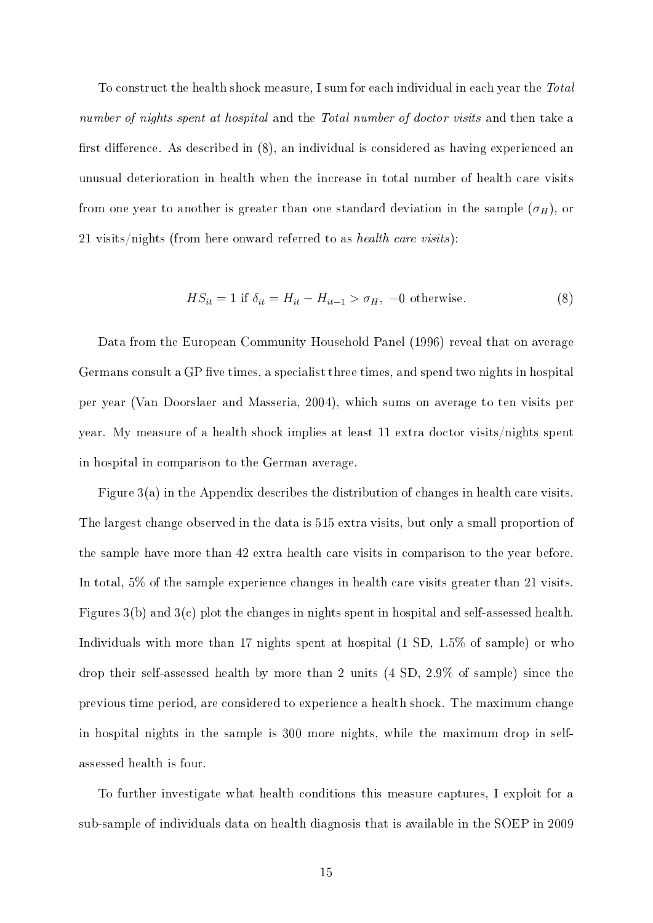To construct the health shock measure, I sum for each individual in each year the Total number of nights spent at hospital and the Total number of doctor visits and then take a first difference. As described in  $(8)$ , an individual is considered as having experienced an unusual deterioration in health when the increase in total number of health care visits from one year to another is greater than one standard deviation in the sample  $(\sigma_H)$ , or 21 visits/nights (from here onward referred to as health care visits):

$$
HS_{it} = 1 \text{ if } \delta_{it} = H_{it} - H_{it-1} > \sigma_H, =0 \text{ otherwise.}
$$
 (8)

Data from the European Community Household Panel (1996) reveal that on average Germans consult a GP five times, a specialist three times, and spend two nights in hospital per year (Van Doorslaer and Masseria, 2004), which sums on average to ten visits per year. My measure of a health shock implies at least 11 extra doctor visits/nights spent in hospital in comparison to the German average.

Figure 3(a) in the Appendix describes the distribution of changes in health care visits. The largest change observed in the data is 515 extra visits, but only a small proportion of the sample have more than 42 extra health care visits in comparison to the year before. In total, 5% of the sample experience changes in health care visits greater than 21 visits. Figures 3(b) and 3(c) plot the changes in nights spent in hospital and self-assessed health. Individuals with more than 17 nights spent at hospital (1 SD, 1.5% of sample) or who drop their self-assessed health by more than 2 units (4 SD, 2.9% of sample) since the previous time period, are considered to experience a health shock. The maximum change in hospital nights in the sample is 300 more nights, while the maximum drop in selfassessed health is four.

To further investigate what health conditions this measure captures, I exploit for a sub-sample of individuals data on health diagnosis that is available in the SOEP in 2009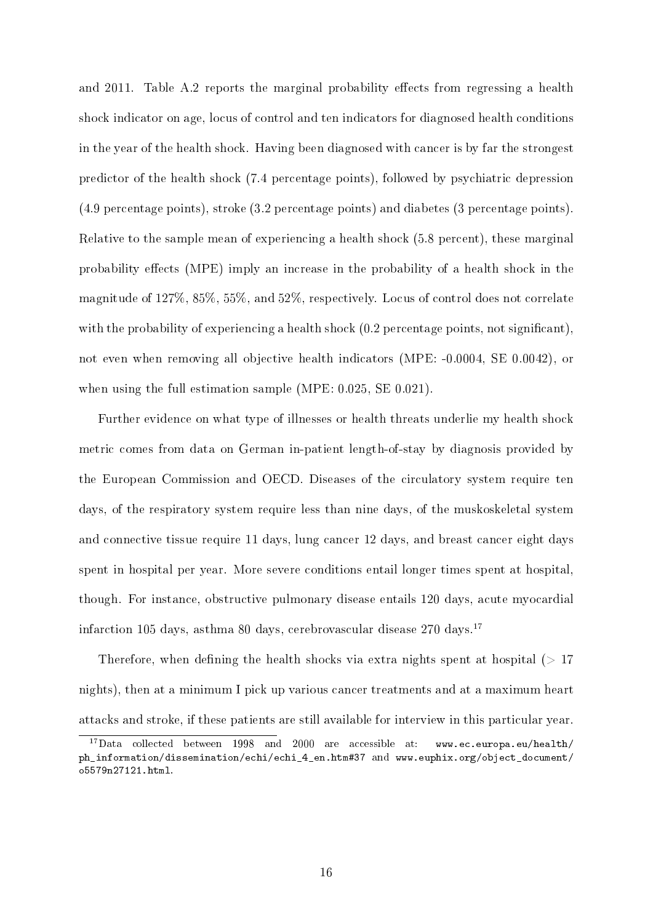and 2011. Table A.2 reports the marginal probability effects from regressing a health shock indicator on age, locus of control and ten indicators for diagnosed health conditions in the year of the health shock. Having been diagnosed with cancer is by far the strongest predictor of the health shock (7.4 percentage points), followed by psychiatric depression (4.9 percentage points), stroke (3.2 percentage points) and diabetes (3 percentage points). Relative to the sample mean of experiencing a health shock (5.8 percent), these marginal probability effects (MPE) imply an increase in the probability of a health shock in the magnitude of 127%, 85%, 55%, and 52%, respectively. Locus of control does not correlate with the probability of experiencing a health shock  $(0.2$  percentage points, not significant), not even when removing all objective health indicators (MPE: -0.0004, SE 0.0042), or when using the full estimation sample (MPE: 0.025, SE 0.021).

Further evidence on what type of illnesses or health threats underlie my health shock metric comes from data on German in-patient length-of-stay by diagnosis provided by the European Commission and OECD. Diseases of the circulatory system require ten days, of the respiratory system require less than nine days, of the muskoskeletal system and connective tissue require 11 days, lung cancer 12 days, and breast cancer eight days spent in hospital per year. More severe conditions entail longer times spent at hospital, though. For instance, obstructive pulmonary disease entails 120 days, acute myocardial infarction 105 days, asthma 80 days, cerebrovascular disease  $270 \text{ days}$ .<sup>17</sup>

Therefore, when defining the health shocks via extra nights spent at hospital  $(>17$ nights), then at a minimum I pick up various cancer treatments and at a maximum heart attacks and stroke, if these patients are still available for interview in this particular year.

 $17$ Data collected between 1998 and 2000 are accessible at: www.ec.europa.eu/health/ ph\_information/dissemination/echi/echi\_4\_en.htm#37 and www.euphix.org/object\_document/ o5579n27121.html.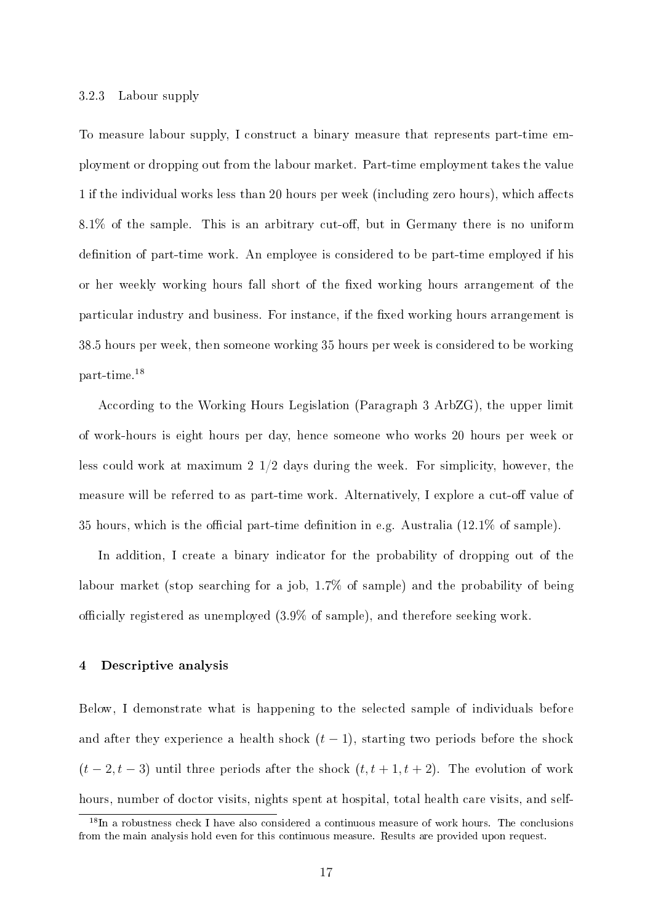#### 3.2.3 Labour supply

To measure labour supply, I construct a binary measure that represents part-time employment or dropping out from the labour market. Part-time employment takes the value 1 if the individual works less than 20 hours per week (including zero hours), which affects  $8.1\%$  of the sample. This is an arbitrary cut-off, but in Germany there is no uniform definition of part-time work. An employee is considered to be part-time employed if his or her weekly working hours fall short of the fixed working hours arrangement of the particular industry and business. For instance, if the fixed working hours arrangement is 38.5 hours per week, then someone working 35 hours per week is considered to be working part-time.<sup>18</sup>

According to the Working Hours Legislation (Paragraph 3 ArbZG), the upper limit of work-hours is eight hours per day, hence someone who works 20 hours per week or less could work at maximum 2 1/2 days during the week. For simplicity, however, the measure will be referred to as part-time work. Alternatively, I explore a cut-off value of 35 hours, which is the official part-time definition in e.g. Australia  $(12.1\% \text{ of sample})$ .

In addition, I create a binary indicator for the probability of dropping out of the labour market (stop searching for a job, 1.7% of sample) and the probability of being officially registered as unemployed  $(3.9\%$  of sample), and therefore seeking work.

#### 4 Descriptive analysis

Below, I demonstrate what is happening to the selected sample of individuals before and after they experience a health shock  $(t-1)$ , starting two periods before the shock  $(t-2, t-3)$  until three periods after the shock  $(t, t+1, t+2)$ . The evolution of work hours, number of doctor visits, nights spent at hospital, total health care visits, and self-

<sup>&</sup>lt;sup>18</sup>In a robustness check I have also considered a continuous measure of work hours. The conclusions from the main analysis hold even for this continuous measure. Results are provided upon request.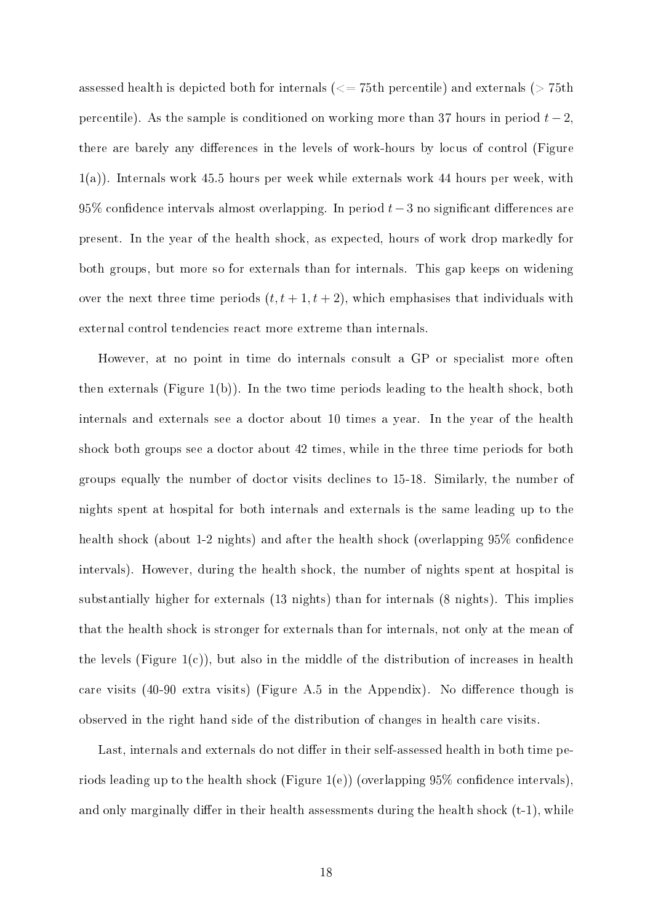assessed health is depicted both for internals  $\left(\leq 75$ th percentile) and externals ( $> 75$ th percentile). As the sample is conditioned on working more than 37 hours in period  $t-2$ , there are barely any differences in the levels of work-hours by locus of control (Figure 1(a)). Internals work 45.5 hours per week while externals work 44 hours per week, with 95% confidence intervals almost overlapping. In period  $t-3$  no significant differences are present. In the year of the health shock, as expected, hours of work drop markedly for both groups, but more so for externals than for internals. This gap keeps on widening over the next three time periods  $(t, t + 1, t + 2)$ , which emphasises that individuals with external control tendencies react more extreme than internals.

However, at no point in time do internals consult a GP or specialist more often then externals (Figure 1(b)). In the two time periods leading to the health shock, both internals and externals see a doctor about 10 times a year. In the year of the health shock both groups see a doctor about 42 times, while in the three time periods for both groups equally the number of doctor visits declines to 15-18. Similarly, the number of nights spent at hospital for both internals and externals is the same leading up to the health shock (about 1-2 nights) and after the health shock (overlapping 95% confidence intervals). However, during the health shock, the number of nights spent at hospital is substantially higher for externals (13 nights) than for internals (8 nights). This implies that the health shock is stronger for externals than for internals, not only at the mean of the levels (Figure  $1(c)$ ), but also in the middle of the distribution of increases in health care visits  $(40-90 \text{ extra visits})$  (Figure A.5 in the Appendix). No difference though is observed in the right hand side of the distribution of changes in health care visits.

Last, internals and externals do not differ in their self-assessed health in both time periods leading up to the health shock (Figure 1(e)) (overlapping  $95\%$  confidence intervals), and only marginally differ in their health assessments during the health shock  $(t-1)$ , while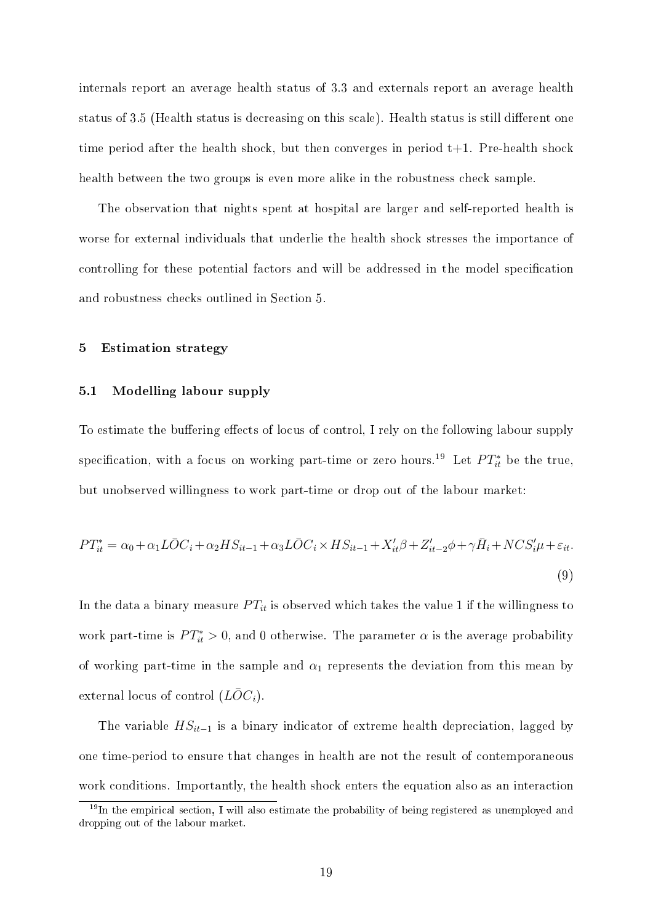internals report an average health status of 3.3 and externals report an average health status of 3.5 (Health status is decreasing on this scale). Health status is still different one time period after the health shock, but then converges in period  $t+1$ . Pre-health shock health between the two groups is even more alike in the robustness check sample.

The observation that nights spent at hospital are larger and self-reported health is worse for external individuals that underlie the health shock stresses the importance of controlling for these potential factors and will be addressed in the model specification and robustness checks outlined in Section 5.

#### 5 Estimation strategy

#### 5.1 Modelling labour supply

To estimate the buffering effects of locus of control, I rely on the following labour supply specification, with a focus on working part-time or zero hours.<sup>19</sup> Let  $PT_{it}^*$  be the true, but unobserved willingness to work part-time or drop out of the labour market:

$$
PT_{it}^* = \alpha_0 + \alpha_1 L\overline{O}C_i + \alpha_2 HS_{it-1} + \alpha_3 L\overline{O}C_i \times HS_{it-1} + X_{it}'\beta + Z_{it-2}'\phi + \gamma \overline{H}_i + NCS_i'\mu + \varepsilon_{it}.
$$
\n
$$
(9)
$$

In the data a binary measure  $PT_{it}$  is observed which takes the value 1 if the willingness to work part-time is  $PT_{it}^* > 0$ , and 0 otherwise. The parameter  $\alpha$  is the average probability of working part-time in the sample and  $\alpha_1$  represents the deviation from this mean by external locus of control  $(L\bar{O}C_i)$ .

The variable *HSit−*<sup>1</sup> is a binary indicator of extreme health depreciation, lagged by one time-period to ensure that changes in health are not the result of contemporaneous work conditions. Importantly, the health shock enters the equation also as an interaction

 $19$ In the empirical section, I will also estimate the probability of being registered as unemployed and dropping out of the labour market.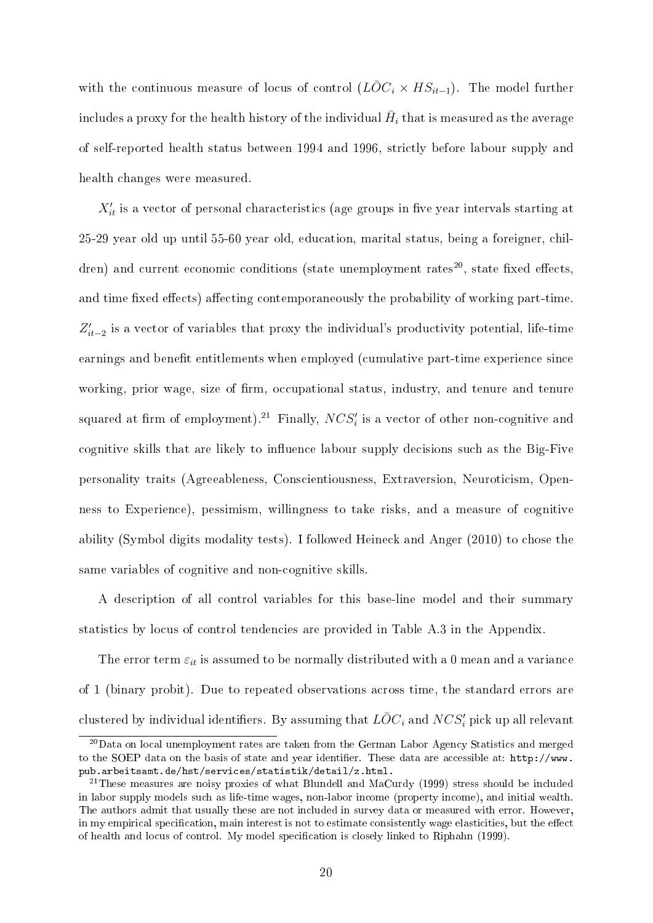with the continuous measure of locus of control  $(L\overline{O}C_i \times HS_{it-1})$ . The model further includes a proxy for the health history of the individual  $\bar{H}_i$  that is measured as the average of self-reported health status between 1994 and 1996, strictly before labour supply and health changes were measured.

 $X_{it}^{\prime}$  is a vector of personal characteristics (age groups in five year intervals starting at 25-29 year old up until 55-60 year old, education, marital status, being a foreigner, children) and current economic conditions (state unemployment rates<sup>20</sup>, state fixed effects, and time fixed effects) affecting contemporaneously the probability of working part-time.  $Z'_{it-2}$  is a vector of variables that proxy the individual's productivity potential, life-time earnings and benefit entitlements when employed (cumulative part-time experience since working, prior wage, size of firm, occupational status, industry, and tenure and tenure squared at firm of employment).<sup>21</sup> Finally,  $NCS_i'$  is a vector of other non-cognitive and cognitive skills that are likely to influence labour supply decisions such as the Big-Five personality traits (Agreeableness, Conscientiousness, Extraversion, Neuroticism, Openness to Experience), pessimism, willingness to take risks, and a measure of cognitive ability (Symbol digits modality tests). I followed Heineck and Anger (2010) to chose the same variables of cognitive and non-cognitive skills.

A description of all control variables for this base-line model and their summary statistics by locus of control tendencies are provided in Table A.3 in the Appendix.

The error term  $\varepsilon_{it}$  is assumed to be normally distributed with a 0 mean and a variance of 1 (binary probit). Due to repeated observations across time, the standard errors are  $\bar{C}$  clustered by individual identifiers. By assuming that  $\bar{LOC_i}$  and  $NCS'_i$  pick up all relevant

<sup>&</sup>lt;sup>20</sup>Data on local unemployment rates are taken from the German Labor Agency Statistics and merged to the SOEP data on the basis of state and year identifier. These data are accessible at: http://www. pub.arbeitsamt.de/hst/services/statistik/detail/z.html.

<sup>&</sup>lt;sup>21</sup>These measures are noisy proxies of what Blundell and MaCurdy (1999) stress should be included in labor supply models such as life-time wages, non-labor income (property income), and initial wealth. The authors admit that usually these are not included in survey data or measured with error. However, in my empirical specification, main interest is not to estimate consistently wage elasticities, but the effect of health and locus of control. My model specication is closely linked to Riphahn (1999).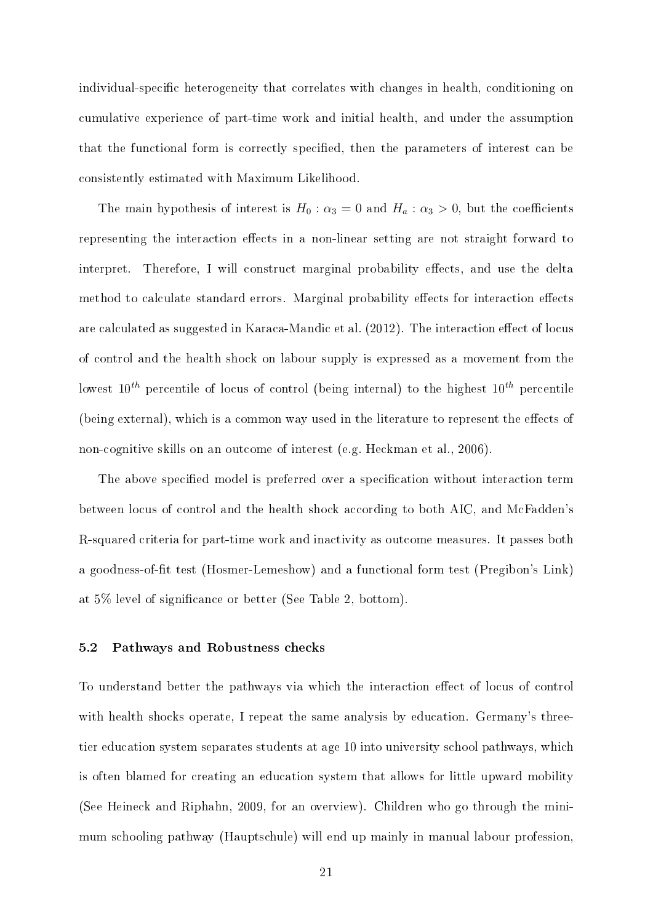individual-specific heterogeneity that correlates with changes in health, conditioning on cumulative experience of part-time work and initial health, and under the assumption that the functional form is correctly specified, then the parameters of interest can be consistently estimated with Maximum Likelihood.

The main hypothesis of interest is  $H_0: \alpha_3 = 0$  and  $H_a: \alpha_3 > 0$ , but the coefficients representing the interaction effects in a non-linear setting are not straight forward to interpret. Therefore, I will construct marginal probability effects, and use the delta method to calculate standard errors. Marginal probability effects for interaction effects are calculated as suggested in Karaca-Mandic et al. (2012). The interaction effect of locus of control and the health shock on labour supply is expressed as a movement from the lowest 10*th* percentile of locus of control (being internal) to the highest 10*th* percentile (being external), which is a common way used in the literature to represent the effects of non-cognitive skills on an outcome of interest (e.g. Heckman et al., 2006).

The above specified model is preferred over a specification without interaction term between locus of control and the health shock according to both AIC, and McFadden's R-squared criteria for part-time work and inactivity as outcome measures. It passes both a goodness-of-fit test (Hosmer-Lemeshow) and a functional form test (Pregibon's Link) at 5% level of signicance or better (See Table 2, bottom).

#### 5.2 Pathways and Robustness checks

To understand better the pathways via which the interaction effect of locus of control with health shocks operate, I repeat the same analysis by education. Germany's threetier education system separates students at age 10 into university school pathways, which is often blamed for creating an education system that allows for little upward mobility (See Heineck and Riphahn, 2009, for an overview). Children who go through the minimum schooling pathway (Hauptschule) will end up mainly in manual labour profession,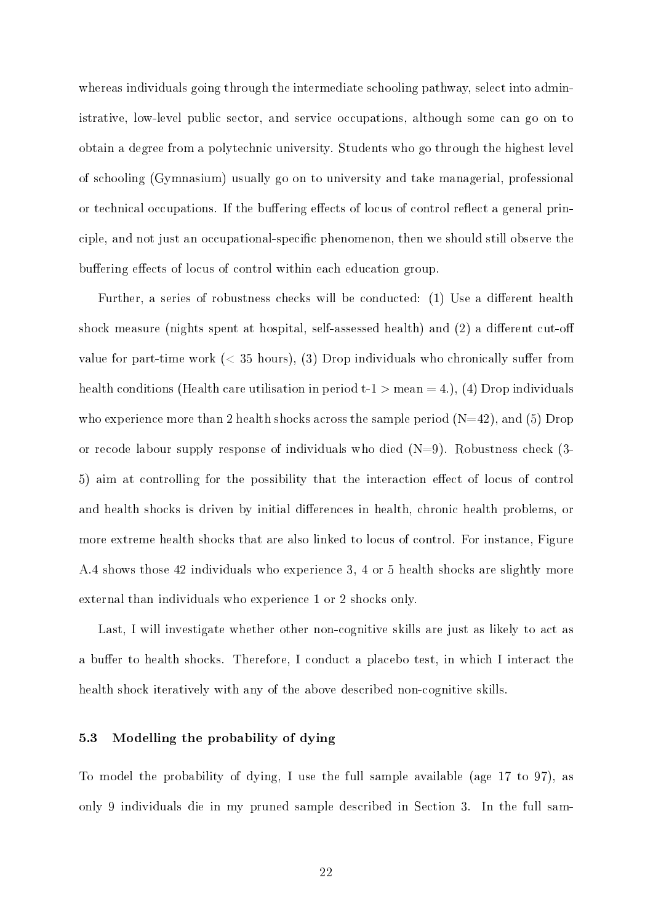whereas individuals going through the intermediate schooling pathway, select into administrative, low-level public sector, and service occupations, although some can go on to obtain a degree from a polytechnic university. Students who go through the highest level of schooling (Gymnasium) usually go on to university and take managerial, professional or technical occupations. If the buffering effects of locus of control reflect a general principle, and not just an occupational-specific phenomenon, then we should still observe the buffering effects of locus of control within each education group.

Further, a series of robustness checks will be conducted: (1) Use a different health shock measure (nights spent at hospital, self-assessed health) and  $(2)$  a different cut-off value for part-time work  $( $35$  hours),  $(3)$  Drop individuals who chronically suffer from$ health conditions (Health care utilisation in period  $t-1 >$  mean  $= 4$ .), (4) Drop individuals who experience more than 2 health shocks across the sample period  $(N=42)$ , and (5) Drop or recode labour supply response of individuals who died  $(N=9)$ . Robustness check  $(3-$ 5) aim at controlling for the possibility that the interaction effect of locus of control and health shocks is driven by initial differences in health, chronic health problems, or more extreme health shocks that are also linked to locus of control. For instance, Figure A.4 shows those 42 individuals who experience 3, 4 or 5 health shocks are slightly more external than individuals who experience 1 or 2 shocks only.

Last, I will investigate whether other non-cognitive skills are just as likely to act as a buffer to health shocks. Therefore, I conduct a placebo test, in which I interact the health shock iteratively with any of the above described non-cognitive skills.

#### 5.3 Modelling the probability of dying

To model the probability of dying, I use the full sample available (age 17 to 97), as only 9 individuals die in my pruned sample described in Section 3. In the full sam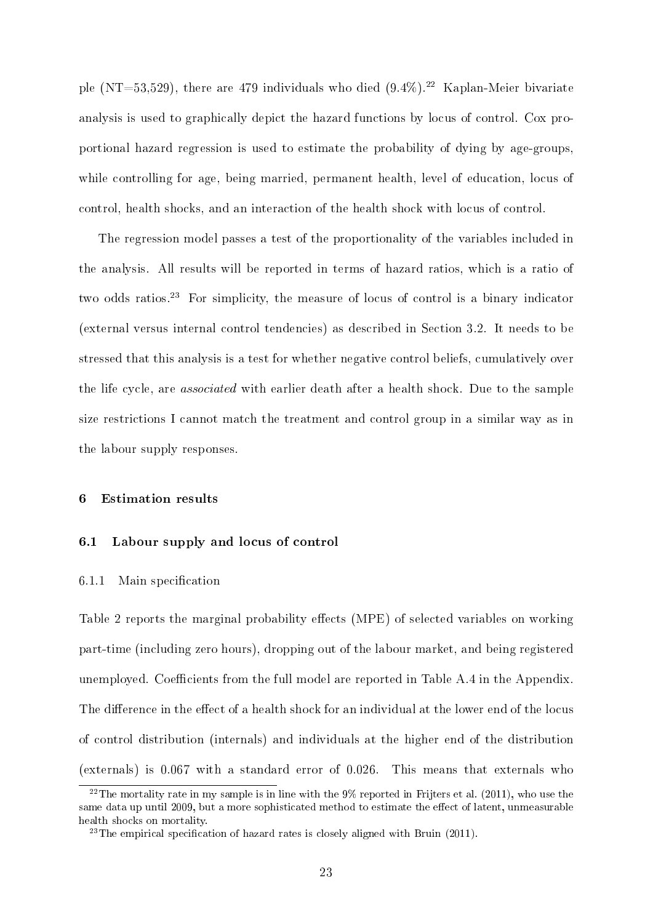ple (NT=53,529), there are 479 individuals who died  $(9.4\%)$ .<sup>22</sup> Kaplan-Meier bivariate analysis is used to graphically depict the hazard functions by locus of control. Cox proportional hazard regression is used to estimate the probability of dying by age-groups, while controlling for age, being married, permanent health, level of education, locus of control, health shocks, and an interaction of the health shock with locus of control.

The regression model passes a test of the proportionality of the variables included in the analysis. All results will be reported in terms of hazard ratios, which is a ratio of two odds ratios.<sup>23</sup> For simplicity, the measure of locus of control is a binary indicator (external versus internal control tendencies) as described in Section 3.2. It needs to be stressed that this analysis is a test for whether negative control beliefs, cumulatively over the life cycle, are associated with earlier death after a health shock. Due to the sample size restrictions I cannot match the treatment and control group in a similar way as in the labour supply responses.

#### 6 Estimation results

#### 6.1 Labour supply and locus of control

#### 6.1.1 Main specification

Table 2 reports the marginal probability effects (MPE) of selected variables on working part-time (including zero hours), dropping out of the labour market, and being registered unemployed. Coefficients from the full model are reported in Table A.4 in the Appendix. The difference in the effect of a health shock for an individual at the lower end of the locus of control distribution (internals) and individuals at the higher end of the distribution (externals) is 0.067 with a standard error of 0.026. This means that externals who

<sup>&</sup>lt;sup>22</sup>The mortality rate in my sample is in line with the  $9\%$  reported in Frijters et al. (2011), who use the same data up until 2009, but a more sophisticated method to estimate the effect of latent, unmeasurable health shocks on mortality.

 $^{23}$ The empirical specification of hazard rates is closely aligned with Bruin (2011).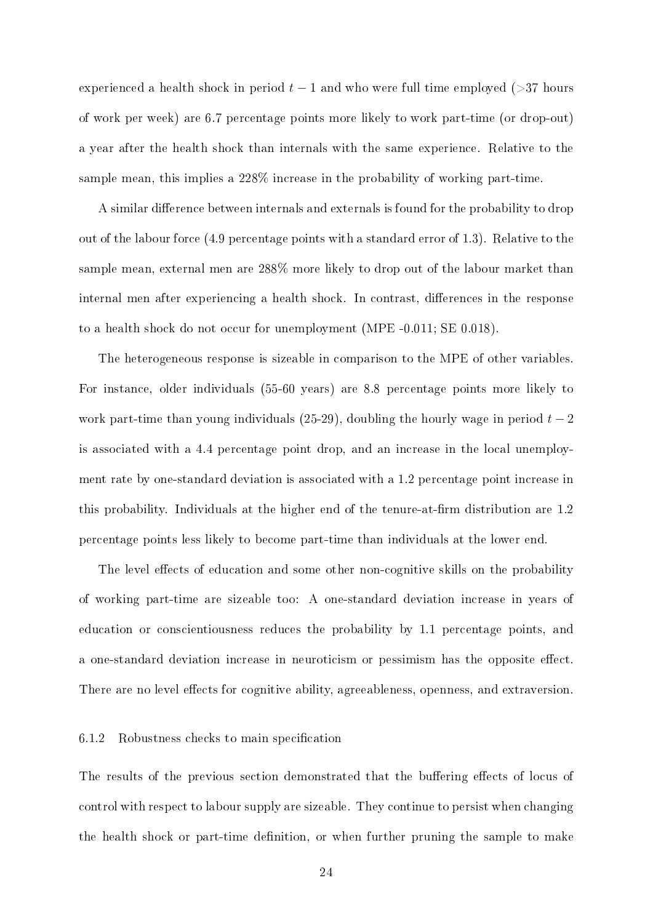experienced a health shock in period  $t-1$  and who were full time employed ( $>37$  hours of work per week) are 6.7 percentage points more likely to work part-time (or drop-out) a year after the health shock than internals with the same experience. Relative to the sample mean, this implies a 228% increase in the probability of working part-time.

A similar difference between internals and externals is found for the probability to drop out of the labour force (4.9 percentage points with a standard error of 1.3). Relative to the sample mean, external men are 288% more likely to drop out of the labour market than internal men after experiencing a health shock. In contrast, differences in the response to a health shock do not occur for unemployment (MPE -0.011; SE 0.018).

The heterogeneous response is sizeable in comparison to the MPE of other variables. For instance, older individuals (55-60 years) are 8.8 percentage points more likely to work part-time than young individuals (25-29), doubling the hourly wage in period *t −* 2 is associated with a 4.4 percentage point drop, and an increase in the local unemployment rate by one-standard deviation is associated with a 1.2 percentage point increase in this probability. Individuals at the higher end of the tenure-at-firm distribution are 1.2 percentage points less likely to become part-time than individuals at the lower end.

The level effects of education and some other non-cognitive skills on the probability of working part-time are sizeable too: A one-standard deviation increase in years of education or conscientiousness reduces the probability by 1.1 percentage points, and a one-standard deviation increase in neuroticism or pessimism has the opposite effect. There are no level effects for cognitive ability, agreeableness, openness, and extraversion.

#### 6.1.2 Robustness checks to main specification

The results of the previous section demonstrated that the buffering effects of locus of control with respect to labour supply are sizeable. They continue to persist when changing the health shock or part-time definition, or when further pruning the sample to make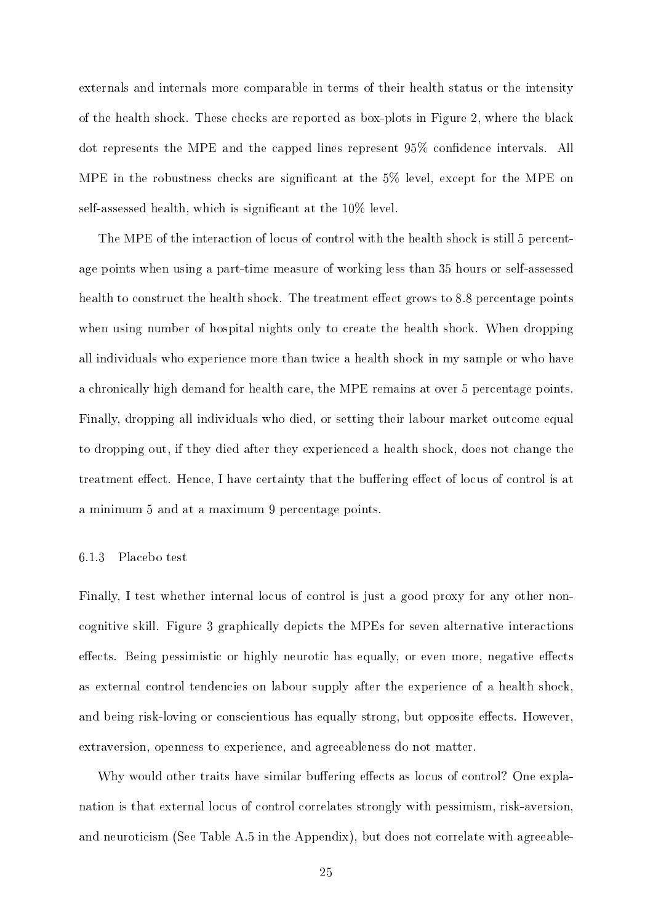externals and internals more comparable in terms of their health status or the intensity of the health shock. These checks are reported as box-plots in Figure 2, where the black dot represents the MPE and the capped lines represent 95% confidence intervals. All MPE in the robustness checks are significant at the  $5\%$  level, except for the MPE on self-assessed health, which is signicant at the 10% level.

The MPE of the interaction of locus of control with the health shock is still 5 percentage points when using a part-time measure of working less than 35 hours or self-assessed health to construct the health shock. The treatment effect grows to 8.8 percentage points when using number of hospital nights only to create the health shock. When dropping all individuals who experience more than twice a health shock in my sample or who have a chronically high demand for health care, the MPE remains at over 5 percentage points. Finally, dropping all individuals who died, or setting their labour market outcome equal to dropping out, if they died after they experienced a health shock, does not change the treatment effect. Hence, I have certainty that the buffering effect of locus of control is at a minimum 5 and at a maximum 9 percentage points.

#### 6.1.3 Placebo test

Finally, I test whether internal locus of control is just a good proxy for any other noncognitive skill. Figure 3 graphically depicts the MPEs for seven alternative interactions effects. Being pessimistic or highly neurotic has equally, or even more, negative effects as external control tendencies on labour supply after the experience of a health shock, and being risk-loving or conscientious has equally strong, but opposite effects. However, extraversion, openness to experience, and agreeableness do not matter.

Why would other traits have similar buffering effects as locus of control? One explanation is that external locus of control correlates strongly with pessimism, risk-aversion, and neuroticism (See Table A.5 in the Appendix), but does not correlate with agreeable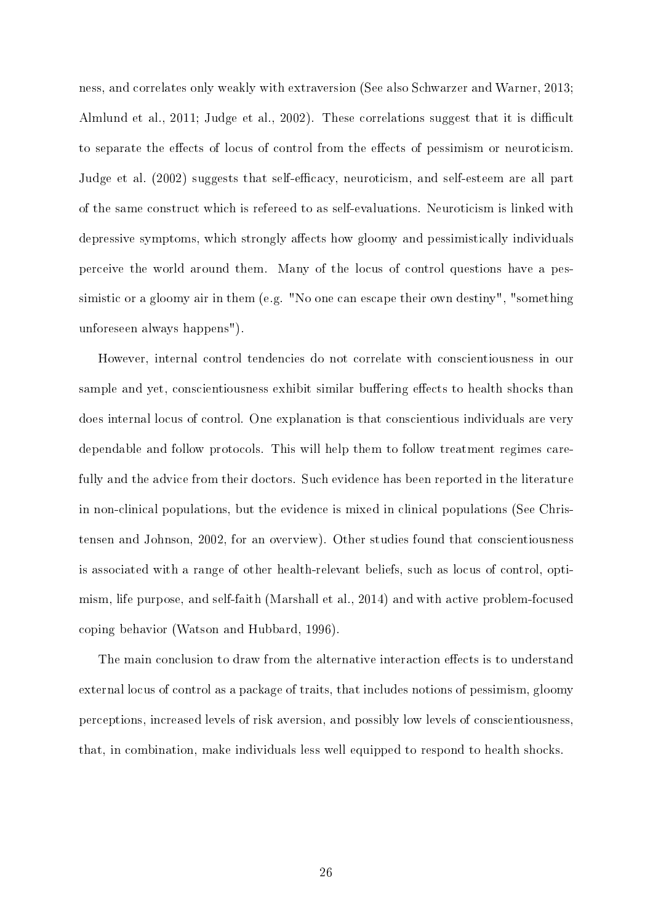ness, and correlates only weakly with extraversion (See also Schwarzer and Warner, 2013; Almlund et al., 2011; Judge et al., 2002). These correlations suggest that it is difficult to separate the effects of locus of control from the effects of pessimism or neuroticism. Judge et al. (2002) suggests that self-efficacy, neuroticism, and self-esteem are all part of the same construct which is refereed to as self-evaluations. Neuroticism is linked with depressive symptoms, which strongly affects how gloomy and pessimistically individuals perceive the world around them. Many of the locus of control questions have a pessimistic or a gloomy air in them (e.g. "No one can escape their own destiny", "something unforeseen always happens").

However, internal control tendencies do not correlate with conscientiousness in our sample and yet, conscientiousness exhibit similar buffering effects to health shocks than does internal locus of control. One explanation is that conscientious individuals are very dependable and follow protocols. This will help them to follow treatment regimes carefully and the advice from their doctors. Such evidence has been reported in the literature in non-clinical populations, but the evidence is mixed in clinical populations (See Christensen and Johnson, 2002, for an overview). Other studies found that conscientiousness is associated with a range of other health-relevant beliefs, such as locus of control, optimism, life purpose, and self-faith (Marshall et al., 2014) and with active problem-focused coping behavior (Watson and Hubbard, 1996).

The main conclusion to draw from the alternative interaction effects is to understand external locus of control as a package of traits, that includes notions of pessimism, gloomy perceptions, increased levels of risk aversion, and possibly low levels of conscientiousness, that, in combination, make individuals less well equipped to respond to health shocks.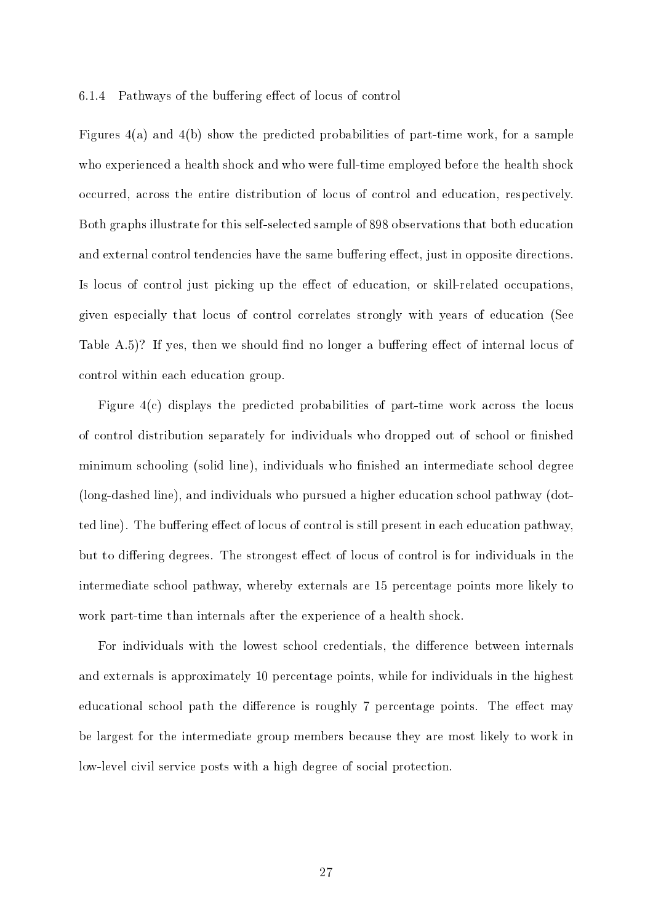#### 6.1.4 Pathways of the buffering effect of locus of control

Figures 4(a) and 4(b) show the predicted probabilities of part-time work, for a sample who experienced a health shock and who were full-time employed before the health shock occurred, across the entire distribution of locus of control and education, respectively. Both graphs illustrate for this self-selected sample of 898 observations that both education and external control tendencies have the same buffering effect, just in opposite directions. Is locus of control just picking up the effect of education, or skill-related occupations, given especially that locus of control correlates strongly with years of education (See Table A.5)? If yes, then we should find no longer a buffering effect of internal locus of control within each education group.

Figure 4(c) displays the predicted probabilities of part-time work across the locus of control distribution separately for individuals who dropped out of school or finished minimum schooling (solid line), individuals who finished an intermediate school degree (long-dashed line), and individuals who pursued a higher education school pathway (dotted line). The buffering effect of locus of control is still present in each education pathway, but to differing degrees. The strongest effect of locus of control is for individuals in the intermediate school pathway, whereby externals are 15 percentage points more likely to work part-time than internals after the experience of a health shock.

For individuals with the lowest school credentials, the difference between internals and externals is approximately 10 percentage points, while for individuals in the highest educational school path the difference is roughly 7 percentage points. The effect may be largest for the intermediate group members because they are most likely to work in low-level civil service posts with a high degree of social protection.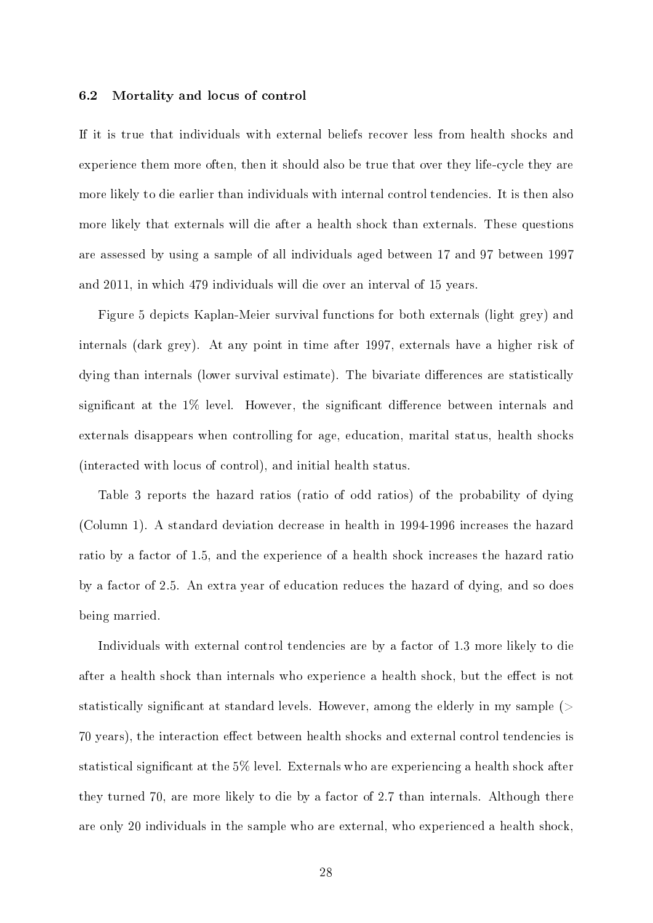#### 6.2 Mortality and locus of control

If it is true that individuals with external beliefs recover less from health shocks and experience them more often, then it should also be true that over they life-cycle they are more likely to die earlier than individuals with internal control tendencies. It is then also more likely that externals will die after a health shock than externals. These questions are assessed by using a sample of all individuals aged between 17 and 97 between 1997 and 2011, in which 479 individuals will die over an interval of 15 years.

Figure 5 depicts Kaplan-Meier survival functions for both externals (light grey) and internals (dark grey). At any point in time after 1997, externals have a higher risk of dying than internals (lower survival estimate). The bivariate differences are statistically significant at the  $1\%$  level. However, the significant difference between internals and externals disappears when controlling for age, education, marital status, health shocks (interacted with locus of control), and initial health status.

Table 3 reports the hazard ratios (ratio of odd ratios) of the probability of dying (Column 1). A standard deviation decrease in health in 1994-1996 increases the hazard ratio by a factor of 1.5, and the experience of a health shock increases the hazard ratio by a factor of 2.5. An extra year of education reduces the hazard of dying, and so does being married.

Individuals with external control tendencies are by a factor of 1.3 more likely to die after a health shock than internals who experience a health shock, but the effect is not statistically significant at standard levels. However, among the elderly in my sample  $($ 70 years), the interaction effect between health shocks and external control tendencies is statistical signicant at the 5% level. Externals who are experiencing a health shock after they turned 70, are more likely to die by a factor of 2.7 than internals. Although there are only 20 individuals in the sample who are external, who experienced a health shock,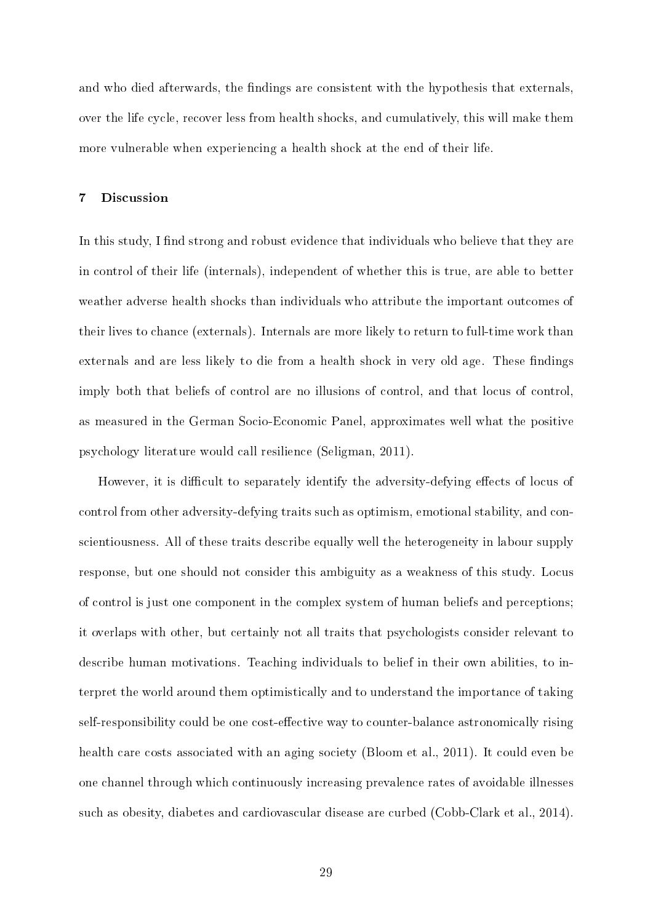and who died afterwards, the findings are consistent with the hypothesis that externals, over the life cycle, recover less from health shocks, and cumulatively, this will make them more vulnerable when experiencing a health shock at the end of their life.

#### 7 Discussion

In this study, I find strong and robust evidence that individuals who believe that they are in control of their life (internals), independent of whether this is true, are able to better weather adverse health shocks than individuals who attribute the important outcomes of their lives to chance (externals). Internals are more likely to return to full-time work than externals and are less likely to die from a health shock in very old age. These findings imply both that beliefs of control are no illusions of control, and that locus of control, as measured in the German Socio-Economic Panel, approximates well what the positive psychology literature would call resilience (Seligman, 2011).

However, it is difficult to separately identify the adversity-defying effects of locus of control from other adversity-defying traits such as optimism, emotional stability, and conscientiousness. All of these traits describe equally well the heterogeneity in labour supply response, but one should not consider this ambiguity as a weakness of this study. Locus of control is just one component in the complex system of human beliefs and perceptions; it overlaps with other, but certainly not all traits that psychologists consider relevant to describe human motivations. Teaching individuals to belief in their own abilities, to interpret the world around them optimistically and to understand the importance of taking self-responsibility could be one cost-effective way to counter-balance astronomically rising health care costs associated with an aging society (Bloom et al., 2011). It could even be one channel through which continuously increasing prevalence rates of avoidable illnesses such as obesity, diabetes and cardiovascular disease are curbed (Cobb-Clark et al., 2014).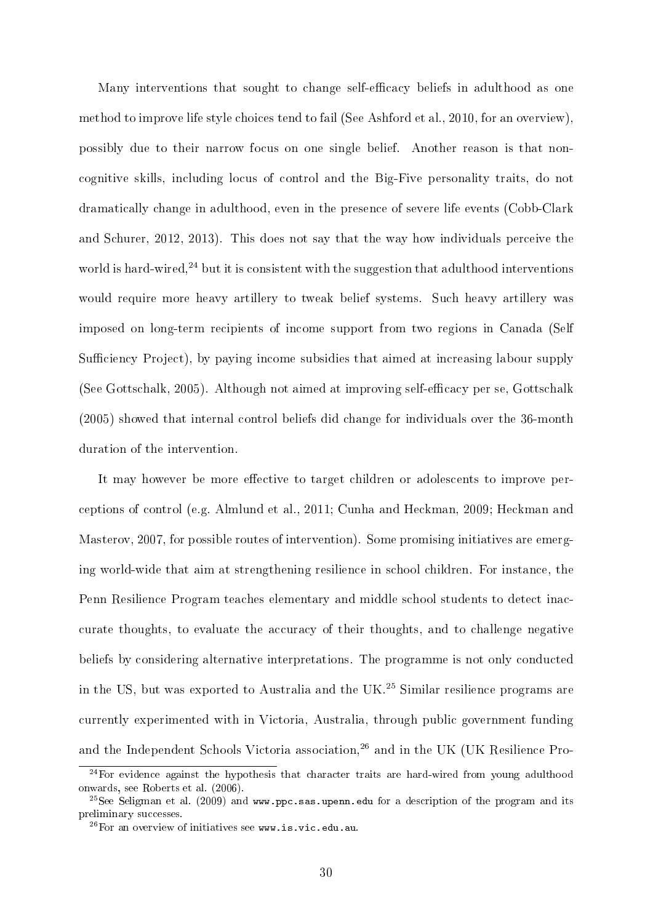Many interventions that sought to change self-efficacy beliefs in adulthood as one method to improve life style choices tend to fail (See Ashford et al., 2010, for an overview), possibly due to their narrow focus on one single belief. Another reason is that noncognitive skills, including locus of control and the Big-Five personality traits, do not dramatically change in adulthood, even in the presence of severe life events (Cobb-Clark and Schurer, 2012, 2013). This does not say that the way how individuals perceive the world is hard-wired,<sup>24</sup> but it is consistent with the suggestion that adulthood interventions would require more heavy artillery to tweak belief systems. Such heavy artillery was imposed on long-term recipients of income support from two regions in Canada (Self Sufficiency Project), by paying income subsidies that aimed at increasing labour supply (See Gottschalk, 2005). Although not aimed at improving self-efficacy per se, Gottschalk (2005) showed that internal control beliefs did change for individuals over the 36-month duration of the intervention.

It may however be more effective to target children or adolescents to improve perceptions of control (e.g. Almlund et al., 2011; Cunha and Heckman, 2009; Heckman and Masterov, 2007, for possible routes of intervention). Some promising initiatives are emerging world-wide that aim at strengthening resilience in school children. For instance, the Penn Resilience Program teaches elementary and middle school students to detect inaccurate thoughts, to evaluate the accuracy of their thoughts, and to challenge negative beliefs by considering alternative interpretations. The programme is not only conducted in the US, but was exported to Australia and the UK.<sup>25</sup> Similar resilience programs are currently experimented with in Victoria, Australia, through public government funding and the Independent Schools Victoria association,<sup>26</sup> and in the UK (UK Resilience Pro-

 $24$  For evidence against the hypothesis that character traits are hard-wired from young adulthood onwards, see Roberts et al. (2006).

<sup>&</sup>lt;sup>25</sup>See Seligman et al. (2009) and www.ppc.sas.upenn.edu for a description of the program and its preliminary successes.

 $^{26}$ For an overview of initiatives see www.is.vic.edu.au.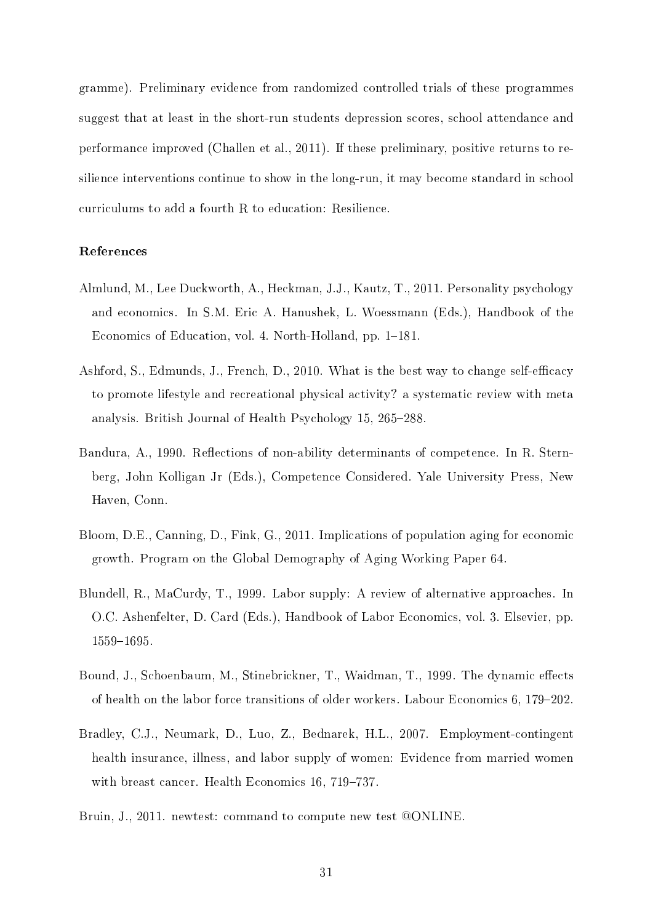gramme). Preliminary evidence from randomized controlled trials of these programmes suggest that at least in the short-run students depression scores, school attendance and performance improved (Challen et al., 2011). If these preliminary, positive returns to resilience interventions continue to show in the long-run, it may become standard in school curriculums to add a fourth R to education: Resilience.

#### References

- Almlund, M., Lee Duckworth, A., Heckman, J.J., Kautz, T., 2011. Personality psychology and economics. In S.M. Eric A. Hanushek, L. Woessmann (Eds.), Handbook of the Economics of Education, vol. 4. North-Holland, pp. 1–181.
- Ashford, S., Edmunds, J., French, D., 2010. What is the best way to change self-efficacy to promote lifestyle and recreational physical activity? a systematic review with meta analysis. British Journal of Health Psychology 15, 265–288.
- Bandura, A., 1990. Reflections of non-ability determinants of competence. In R. Sternberg, John Kolligan Jr (Eds.), Competence Considered. Yale University Press, New Haven, Conn.
- Bloom, D.E., Canning, D., Fink, G., 2011. Implications of population aging for economic growth. Program on the Global Demography of Aging Working Paper 64.
- Blundell, R., MaCurdy, T., 1999. Labor supply: A review of alternative approaches. In O.C. Ashenfelter, D. Card (Eds.), Handbook of Labor Economics, vol. 3. Elsevier, pp. 1559-1695.
- Bound, J., Schoenbaum, M., Stinebrickner, T., Waidman, T., 1999. The dynamic effects of health on the labor force transitions of older workers. Labour Economics  $6, 179-202$ .
- Bradley, C.J., Neumark, D., Luo, Z., Bednarek, H.L., 2007. Employment-contingent health insurance, illness, and labor supply of women: Evidence from married women with breast cancer. Health Economics 16, 719-737.
- Bruin, J., 2011. newtest: command to compute new test @ONLINE.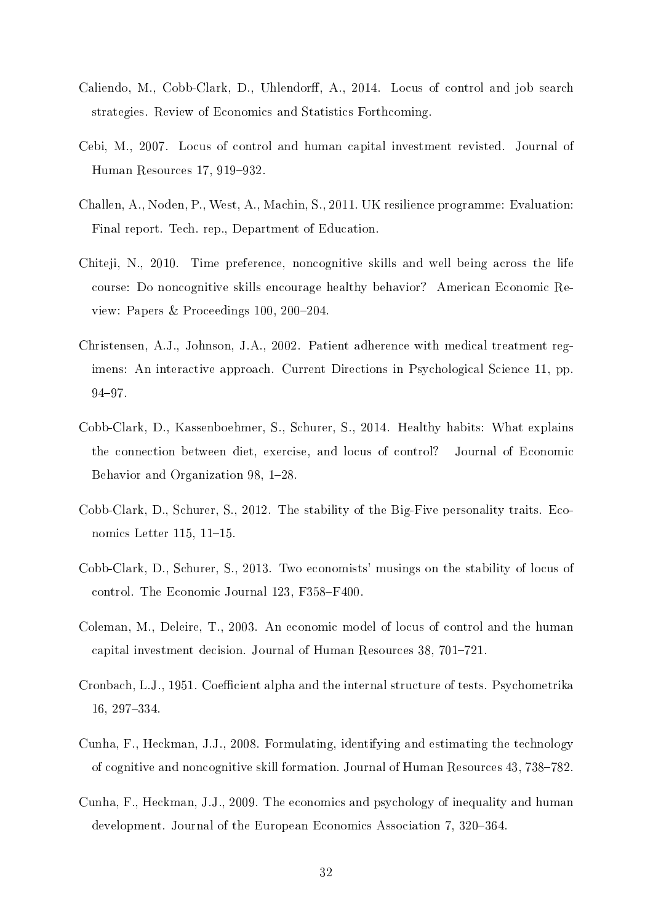- Caliendo, M., Cobb-Clark, D., Uhlendorff, A., 2014. Locus of control and job search strategies. Review of Economics and Statistics Forthcoming.
- Cebi, M., 2007. Locus of control and human capital investment revisted. Journal of Human Resources  $17, 919-932$ .
- Challen, A., Noden, P., West, A., Machin, S., 2011. UK resilience programme: Evaluation: Final report. Tech. rep., Department of Education.
- Chiteji, N., 2010. Time preference, noncognitive skills and well being across the life course: Do noncognitive skills encourage healthy behavior? American Economic Review: Papers & Proceedings 100,  $200-204$ .
- Christensen, A.J., Johnson, J.A., 2002. Patient adherence with medical treatment regimens: An interactive approach. Current Directions in Psychological Science 11, pp. 94-97.
- Cobb-Clark, D., Kassenboehmer, S., Schurer, S., 2014. Healthy habits: What explains the connection between diet, exercise, and locus of control? Journal of Economic Behavior and Organization 98, 1-28.
- Cobb-Clark, D., Schurer, S., 2012. The stability of the Big-Five personality traits. Economics Letter  $115$ ,  $11-15$ .
- Cobb-Clark, D., Schurer, S., 2013. Two economists' musings on the stability of locus of control. The Economic Journal 123, F358-F400.
- Coleman, M., Deleire, T., 2003. An economic model of locus of control and the human capital investment decision. Journal of Human Resources 38, 701–721.
- Cronbach, L.J., 1951. Coefficient alpha and the internal structure of tests. Psychometrika 16, 297334.
- Cunha, F., Heckman, J.J., 2008. Formulating, identifying and estimating the technology of cognitive and noncognitive skill formation. Journal of Human Resources 43, 738–782.
- Cunha, F., Heckman, J.J., 2009. The economics and psychology of inequality and human development. Journal of the European Economics Association 7, 320–364.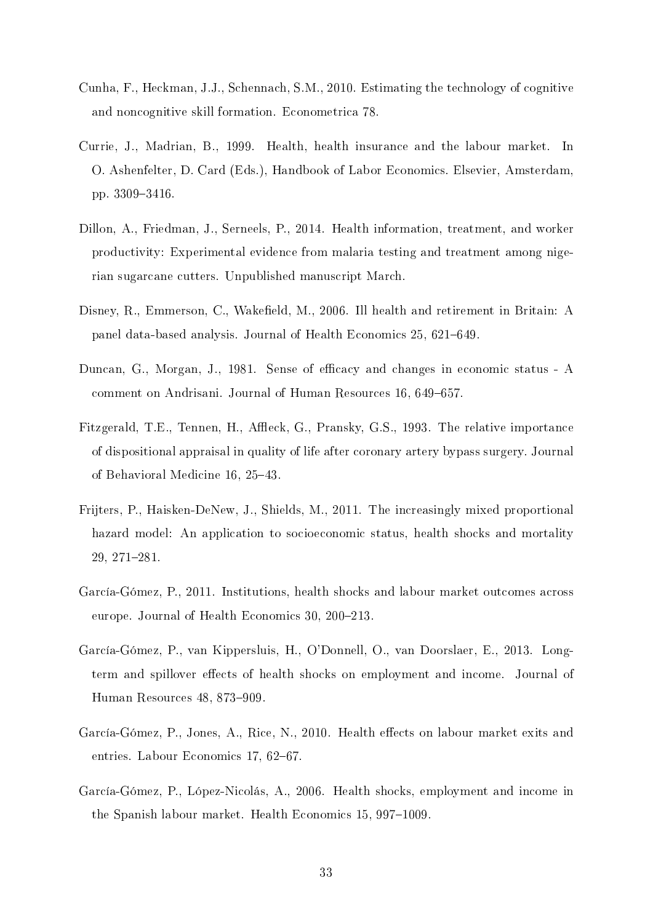- Cunha, F., Heckman, J.J., Schennach, S.M., 2010. Estimating the technology of cognitive and noncognitive skill formation. Econometrica 78.
- Currie, J., Madrian, B., 1999. Health, health insurance and the labour market. In O. Ashenfelter, D. Card (Eds.), Handbook of Labor Economics. Elsevier, Amsterdam, pp. 3309-3416.
- Dillon, A., Friedman, J., Serneels, P., 2014. Health information, treatment, and worker productivity: Experimental evidence from malaria testing and treatment among nigerian sugarcane cutters. Unpublished manuscript March.
- Disney, R., Emmerson, C., Wakefield, M., 2006. Ill health and retirement in Britain: A panel data-based analysis. Journal of Health Economics 25, 621–649.
- Duncan, G., Morgan, J., 1981. Sense of efficacy and changes in economic status A comment on Andrisani. Journal of Human Resources 16, 649–657.
- Fitzgerald, T.E., Tennen, H., Affleck, G., Pransky, G.S., 1993. The relative importance of dispositional appraisal in quality of life after coronary artery bypass surgery. Journal of Behavioral Medicine 16, 25-43.
- Frijters, P., Haisken-DeNew, J., Shields, M., 2011. The increasingly mixed proportional hazard model: An application to socioeconomic status, health shocks and mortality 29, 271-281.
- García-Gómez, P., 2011. Institutions, health shocks and labour market outcomes across europe. Journal of Health Economics 30, 200–213.
- García-Gómez, P., van Kippersluis, H., O'Donnell, O., van Doorslaer, E., 2013. Longterm and spillover effects of health shocks on employment and income. Journal of Human Resources 48, 873-909.
- García-Gómez, P., Jones, A., Rice, N., 2010. Health effects on labour market exits and entries. Labour Economics 17, 62–67.
- García-Gómez, P., López-Nicolás, A., 2006. Health shocks, employment and income in the Spanish labour market. Health Economics 15, 997–1009.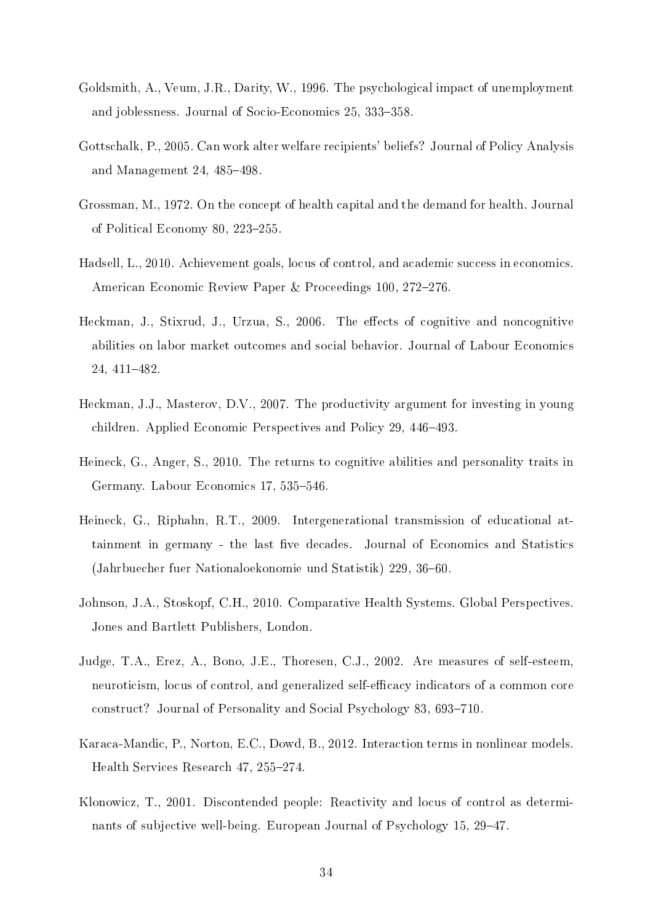- Goldsmith, A., Veum, J.R., Darity, W., 1996. The psychological impact of unemployment and joblessness. Journal of Socio-Economics 25, 333-358.
- Gottschalk, P., 2005. Can work alter welfare recipients' beliefs? Journal of Policy Analysis and Management  $24, 485-498$ .
- Grossman, M., 1972. On the concept of health capital and the demand for health. Journal of Political Economy 80, 223-255.
- Hadsell, L., 2010. Achievement goals, locus of control, and academic success in economics. American Economic Review Paper & Proceedings 100, 272-276.
- Heckman, J., Stixrud, J., Urzua, S., 2006. The effects of cognitive and noncognitive abilities on labor market outcomes and social behavior. Journal of Labour Economics 24, 411-482
- Heckman, J.J., Masterov, D.V., 2007. The productivity argument for investing in young children. Applied Economic Perspectives and Policy 29, 446–493.
- Heineck, G., Anger, S., 2010. The returns to cognitive abilities and personality traits in Germany. Labour Economics 17, 535–546.
- Heineck, G., Riphahn, R.T., 2009. Intergenerational transmission of educational attainment in germany - the last five decades. Journal of Economics and Statistics (Jahrbuecher fuer Nationaloekonomie und Statistik) 229, 36–60.
- Johnson, J.A., Stoskopf, C.H., 2010. Comparative Health Systems. Global Perspectives. Jones and Bartlett Publishers, London.
- Judge, T.A., Erez, A., Bono, J.E., Thoresen, C.J., 2002. Are measures of self-esteem, neuroticism, locus of control, and generalized self-efficacy indicators of a common core construct? Journal of Personality and Social Psychology 83, 693–710.
- Karaca-Mandic, P., Norton, E.C., Dowd, B., 2012. Interaction terms in nonlinear models. Health Services Research 47, 255–274.
- Klonowicz, T., 2001. Discontended people: Reactivity and locus of control as determinants of subjective well-being. European Journal of Psychology 15, 29–47.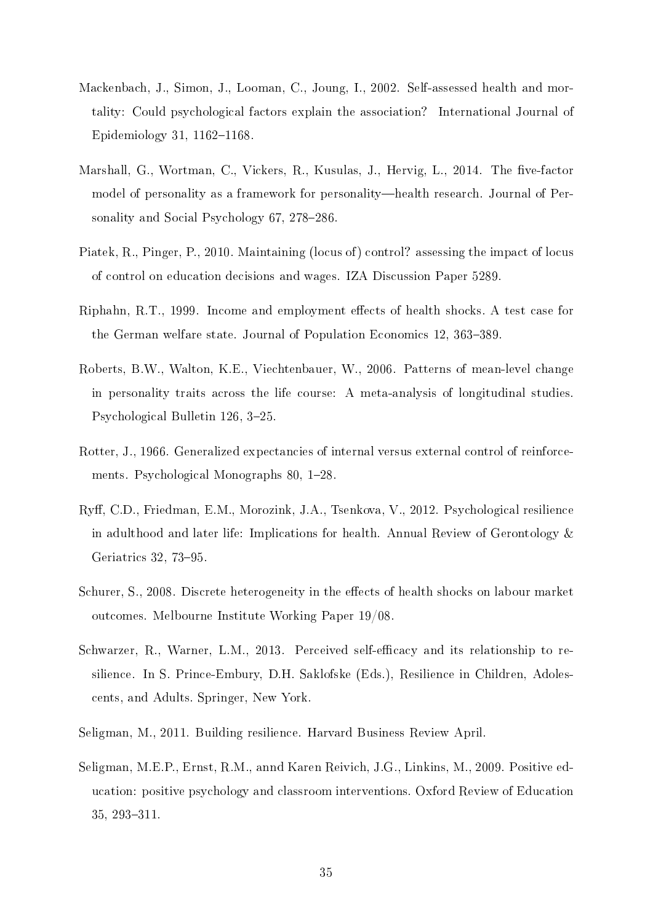- Mackenbach, J., Simon, J., Looman, C., Joung, I., 2002. Self-assessed health and mortality: Could psychological factors explain the association? International Journal of Epidemiology 31, 1162-1168.
- Marshall, G., Wortman, C., Vickers, R., Kusulas, J., Hervig, L., 2014. The five-factor model of personality as a framework for personality—health research. Journal of Personality and Social Psychology 67, 278–286.
- Piatek, R., Pinger, P., 2010. Maintaining (locus of) control? assessing the impact of locus of control on education decisions and wages. IZA Discussion Paper 5289.
- Riphahn, R.T., 1999. Income and employment effects of health shocks. A test case for the German welfare state. Journal of Population Economics 12, 363–389.
- Roberts, B.W., Walton, K.E., Viechtenbauer, W., 2006. Patterns of mean-level change in personality traits across the life course: A meta-analysis of longitudinal studies. Psychological Bulletin 126, 3-25.
- Rotter, J., 1966. Generalized expectancies of internal versus external control of reinforcements. Psychological Monographs 80, 1–28.
- Ry, C.D., Friedman, E.M., Morozink, J.A., Tsenkova, V., 2012. Psychological resilience in adulthood and later life: Implications for health. Annual Review of Gerontology  $\&$ Geriatrics 32, 73-95.
- Schurer, S., 2008. Discrete heterogeneity in the effects of health shocks on labour market outcomes. Melbourne Institute Working Paper 19/08.
- Schwarzer, R., Warner, L.M., 2013. Perceived self-efficacy and its relationship to resilience. In S. Prince-Embury, D.H. Saklofske (Eds.), Resilience in Children, Adolescents, and Adults. Springer, New York.
- Seligman, M., 2011. Building resilience. Harvard Business Review April.
- Seligman, M.E.P., Ernst, R.M., annd Karen Reivich, J.G., Linkins, M., 2009. Positive education: positive psychology and classroom interventions. Oxford Review of Education 35, 293-311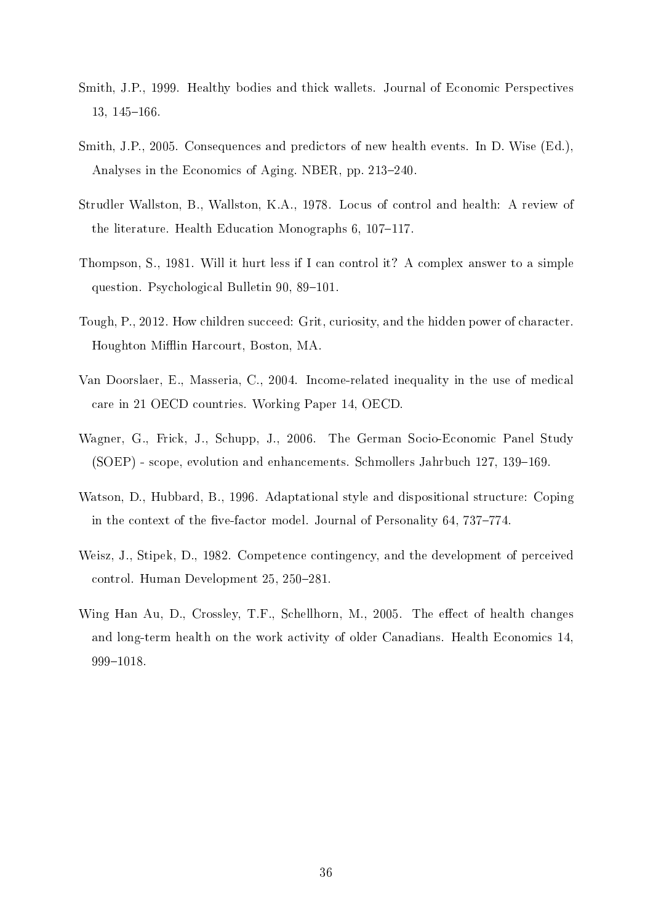- Smith, J.P., 1999. Healthy bodies and thick wallets. Journal of Economic Perspectives  $13, 145 - 166.$
- Smith, J.P., 2005. Consequences and predictors of new health events. In D. Wise (Ed.), Analyses in the Economics of Aging. NBER, pp. 213–240.
- Strudler Wallston, B., Wallston, K.A., 1978. Locus of control and health: A review of the literature. Health Education Monographs  $6, 107-117$ .
- Thompson, S., 1981. Will it hurt less if I can control it? A complex answer to a simple question. Psychological Bulletin 90, 89–101.
- Tough, P., 2012. How children succeed: Grit, curiosity, and the hidden power of character. Houghton Mifflin Harcourt, Boston, MA.
- Van Doorslaer, E., Masseria, C., 2004. Income-related inequality in the use of medical care in 21 OECD countries. Working Paper 14, OECD.
- Wagner, G., Frick, J., Schupp, J., 2006. The German Socio-Economic Panel Study  $(SoEP)$  - scope, evolution and enhancements. Schmollers Jahrbuch 127, 139–169.
- Watson, D., Hubbard, B., 1996. Adaptational style and dispositional structure: Coping in the context of the five-factor model. Journal of Personality 64, 737-774.
- Weisz, J., Stipek, D., 1982. Competence contingency, and the development of perceived control. Human Development 25, 250-281.
- Wing Han Au, D., Crossley, T.F., Schellhorn, M., 2005. The effect of health changes and long-term health on the work activity of older Canadians. Health Economics 14, 9991018.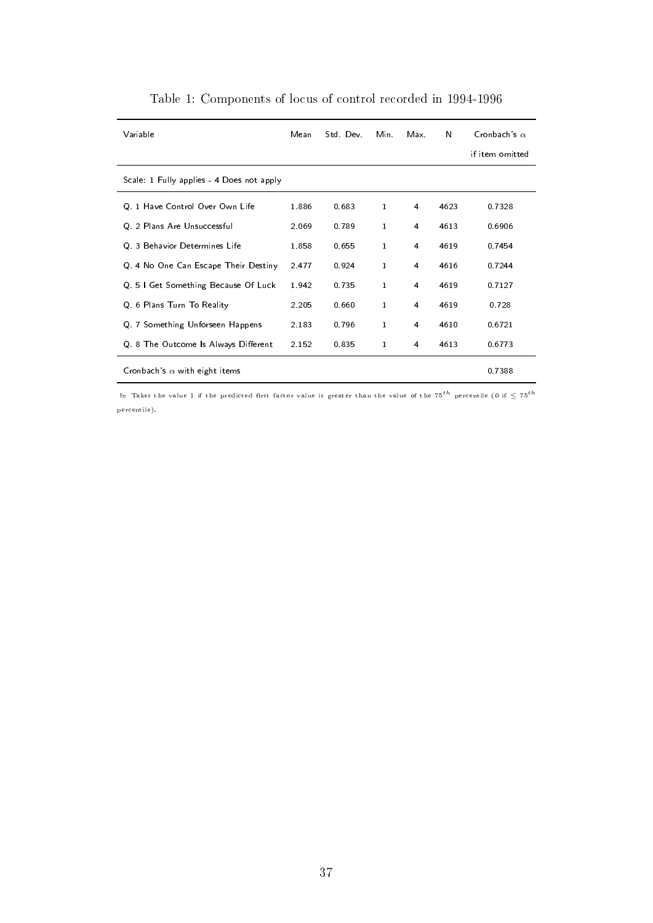| Variable                                  | Mean    | Std. Dev. | Min.         | Max.           | N    | Cronbach's $\alpha$<br>if item omitted |
|-------------------------------------------|---------|-----------|--------------|----------------|------|----------------------------------------|
| Scale: 1 Fully applies - 4 Does not apply |         |           |              |                |      |                                        |
| Q 1 Have Control Over Own Life            | 1886    | 0.683     | $\mathbf{1}$ | 4              | 4623 | 07328                                  |
| Q. 2 Plans Are Unsuccessful               | 2.069   | 0.789     | $\mathbf{1}$ | 4              | 4613 | 0.6906                                 |
| Q 3 Behavior Determines Life              | 1858    | 0.655     | $\mathbf{1}$ | 4              | 4619 | 0.7454                                 |
| Q 4 No One Can Escape Their Destiny       | 2 4 7 7 | 0.924     | $\mathbf{1}$ | 4              | 4616 | 0.7244                                 |
| Q 51 Get Something Because Of Luck        | 1.942   | 0.735     | $\mathbf{1}$ | 4              | 4619 | 07127                                  |
| Q 6 Plans Turn To Reality                 | 2.205   | 0.660     | $\mathbf{1}$ | 4              | 4619 | 0.728                                  |
| Q 7 Something Unforseen Happens           | 2.183   | 0.796     | $\mathbf{1}$ | $\overline{4}$ | 4610 | 06721                                  |
| Q 8 The Outcome Is Always Different       | 2.152   | 0.835     | $\mathbf{1}$ | 4              | 4613 | 06773                                  |
| Cronbach's $\alpha$ with eight items      |         |           |              |                |      | 07388                                  |

Table 1: Components of locus of control recorded in 1994-1996

b: Takes the value 1 if the predicted first factor value is greater than the value of the  $75^{th}$  percentile (0 if  $\leq 75^{th}$ percentile).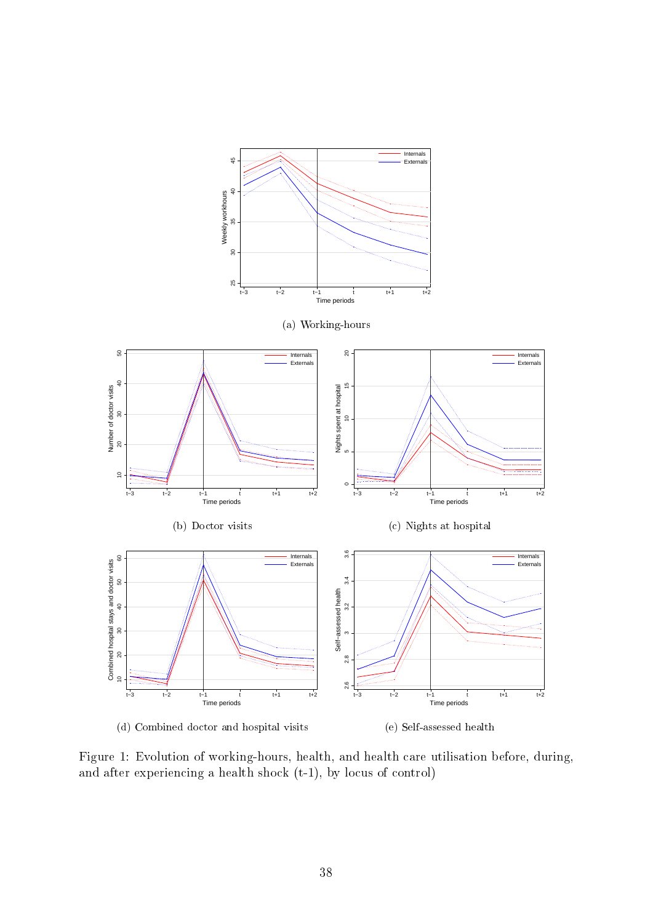

Figure 1: Evolution of working-hours, health, and health care utilisation before, during, and after experiencing a health shock (t-1), by locus of control)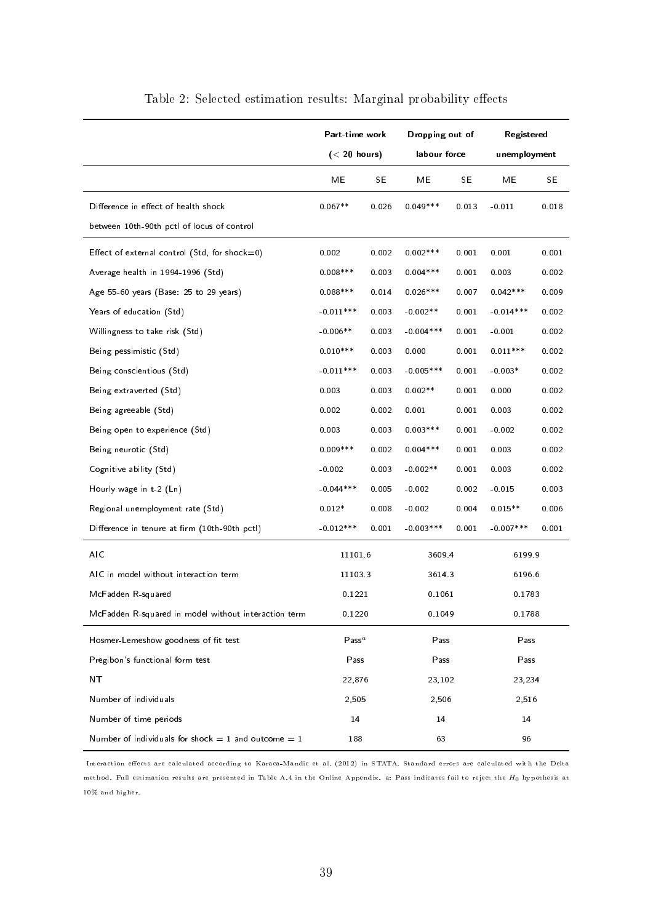|                                                         | Part-time work    |           | Dropping out of   |       | Registered   |           |  |
|---------------------------------------------------------|-------------------|-----------|-------------------|-------|--------------|-----------|--|
|                                                         | $(< 20$ hours)    |           | labour force      |       | unemployment |           |  |
|                                                         | ME                | <b>SE</b> | МE                | SE.   | МE           | <b>SE</b> |  |
| Difference in effect of health shock                    | $0.067**$         | 0.026     | $0.049***$        | 0.013 | $-0.011$     | 0.018     |  |
| between 10th-90th pctl of locus of control              |                   |           |                   |       |              |           |  |
| Effect of external control (Std, for shock=0)           | 0.002             | 0.002     | $0.002***$        | 0.001 | 0.001        | 0.001     |  |
| Average health in 1994-1996 (Std)                       | $0.008***$        | 0.003     | $0.004***$        | 0.001 | 0.003        | 0.002     |  |
| Age 55-60 years (Base: 25 to 29 years)                  | $0.088***$        | 0.014     | $0.026***$        | 0.007 | $0.042***$   | 0.009     |  |
| Years of education (Std)                                | $-0.011***$       | 0.003     | $-0.002**$        | 0.001 | $-0.014***$  | 0.002     |  |
| Willingness to take risk (Std)                          | $-0.006**$        | 0.003     | $-0.004***$       | 0.001 | $-0.001$     | 0.002     |  |
| Being pessimistic (Std)                                 | $0.010***$        | 0.003     | 0.000             | 0.001 | $0.011***$   | 0.002     |  |
| Being conscientious (Std)                               | $-0.011***$       | 0.003     | $-0.005$ ***      | 0.001 | $-0.003*$    | 0.002     |  |
| Being extraverted (Std)                                 | 0.003             | 0.003     | $0.002**$         | 0.001 | 0.000        | 0.002     |  |
| Being agreeable (Std)                                   | 0.002             | 0.002     | 0.001             | 0.001 | 0.003        | 0.002     |  |
| Being open to experience (Std)                          | 0.003             | 0.003     | $0.003***$        | 0.001 | $-0.002$     | 0.002     |  |
| Being neurotic (Std)                                    | $0.009***$        | 0.002     | $0.004***$        | 0.001 | 0.003        | 0.002     |  |
| Cognitive ability (Std)                                 | $-0.002$          | 0.003     | $-0.002**$        | 0.001 | 0.003        | 0.002     |  |
| Hourly wage in $t-2$ (Ln)                               | $-0.044***$       | 0.005     | $-0.002$<br>0.002 |       | $-0.015$     | 0.003     |  |
| Regional unemployment rate (Std)                        | $0.012*$          | 0.008     | $-0.002$<br>0.004 |       | $0.015**$    | 0.006     |  |
| Difference in tenure at firm (10th-90th pctl)           | $-0.012***$       | 0.001     | $-0.003***$       | 0.001 | $-0.007***$  | 0.001     |  |
| AIC                                                     | 11101.6           |           | 3609 4            |       | 61999        |           |  |
| AIC in model without interaction term                   | 11103.3           |           | 36143             |       | 61966        |           |  |
| McFadden R-squared                                      | 0 1 2 2 1         |           | 0.1061            |       | 0 1783       |           |  |
| McFadden R-squared in model without interaction term    | 0.1220            |           | 0.1049            |       | 0 1788       |           |  |
| Hosmer-Lemeshow goodness of fit test                    | $\mathsf{Pass}^a$ |           | Pass              |       | Pass         |           |  |
| Pregibon's functional form test                         | Pass              |           | Pass              |       | Pass         |           |  |
| NT                                                      | 22,876            |           | 23,102            |       | 23,234       |           |  |
| Number of individuals                                   | 2,505             |           | 2,506             |       | 2,516        |           |  |
| Number of time periods                                  | 14                |           | 14                |       | 14           |           |  |
| Number of individuals for shock $= 1$ and outcome $= 1$ | 188               |           | 63                |       | 96           |           |  |

### Table 2: Selected estimation results: Marginal probability effects

Interaction effects are calculated according to Karaca-Mandic et al. (2012) in STATA. Standard errors are calculated with the Delta method. Full estimation results are presented in Table A.4 in the Online Appendix. a: Pass indicates fail to reject the *H*0 hypothesis at 10% and higher.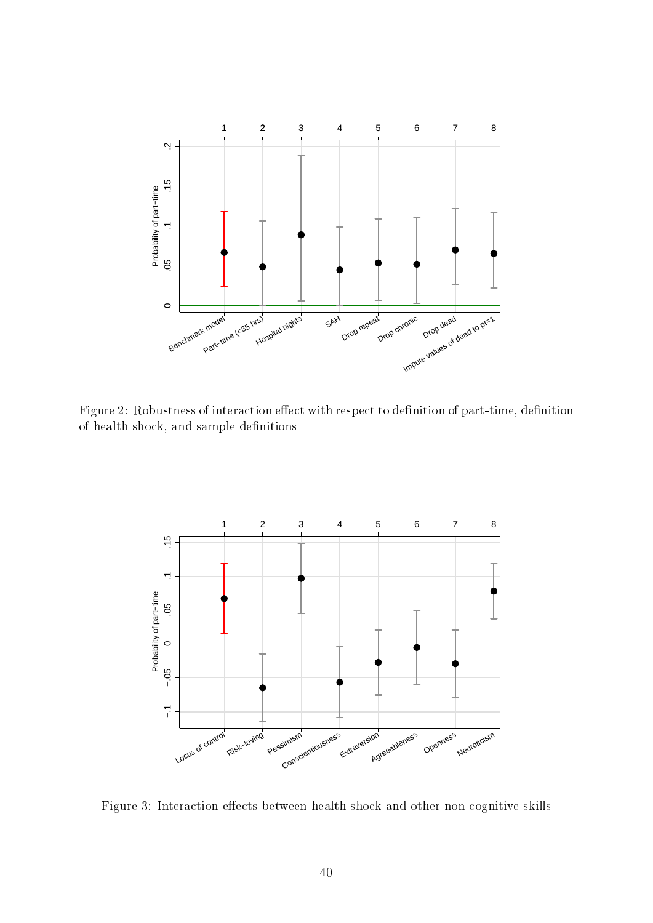

Figure 2: Robustness of interaction effect with respect to definition of part-time, definition of health shock, and sample definitions



Figure 3: Interaction effects between health shock and other non-cognitive skills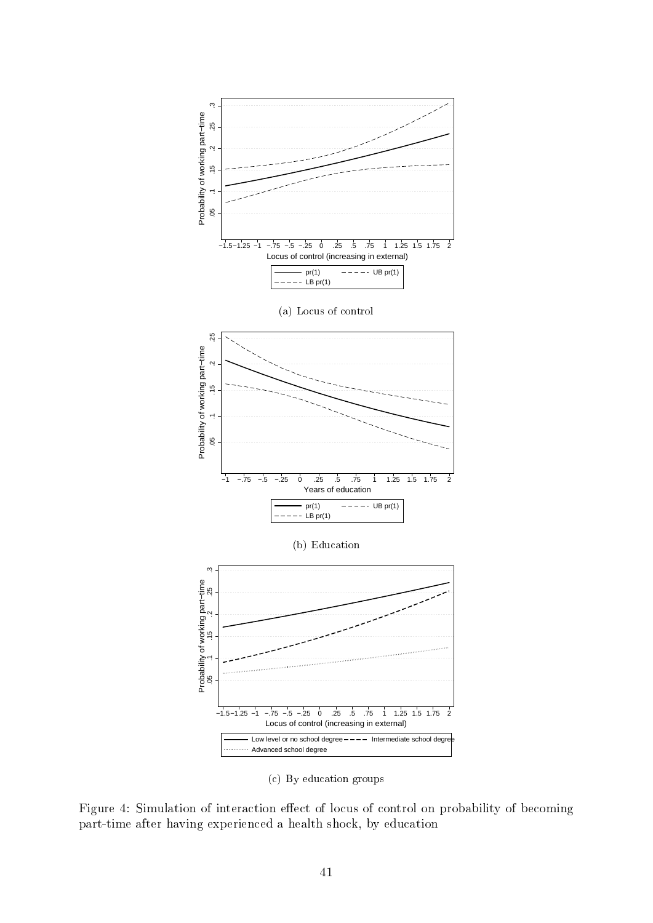

(c) By education groups

Figure 4: Simulation of interaction effect of locus of control on probability of becoming part-time after having experienced a health shock, by education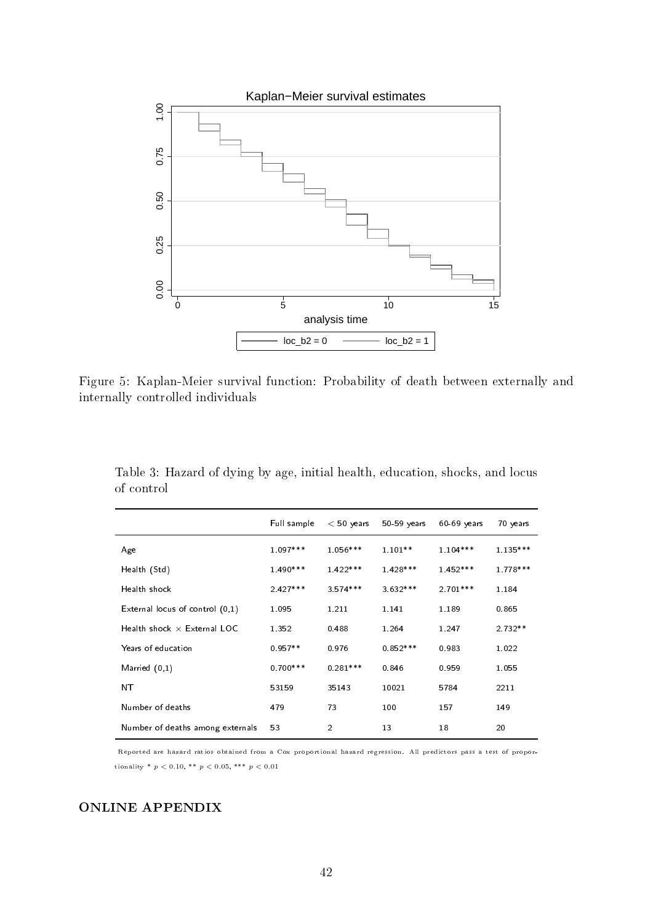

Figure 5: Kaplan-Meier survival function: Probability of death between externally and internally controlled individuals

|                                    | Full sample | $< 50$ years   | $50-59$ years | $60-69$ years | 70 years   |
|------------------------------------|-------------|----------------|---------------|---------------|------------|
| Age                                | $1.097***$  | $1.056***$     | $1.101**$     | $1.104***$    | $1.135***$ |
| Health (Std)                       | $1.490***$  | $1.422***$     | $1.428***$    | $1.452***$    | 1 778***   |
| Health shock                       | $2.427***$  | $3.574***$     | $3.632***$    | $2.701***$    | 1.184      |
| External locus of control $(0,1)$  | 1.095       | 1.211          | 1.141         | 1.189         | 0.865      |
| Health shock $\times$ External LOC | 1 3 5 2     | 0.488          | 1.264         | 1 2 4 7       | $2.732**$  |
| Years of education                 | $0.957**$   | 0976           | $0.852***$    | 0.983         | 1 0 2 2    |
| Married $(0,1)$                    | $0.700***$  | $0.281***$     | 0.846         | 0.959         | 1.055      |
| NΤ                                 | 53159       | 35143          | 10021         | 5784          | 2211       |
| Number of deaths                   | 479         | 73             | 100           | 157           | 149        |
| Number of deaths among externals   | 53          | $\overline{2}$ | 13            | 18            | 20         |

Table 3: Hazard of dying by age, initial health, education, shocks, and locus of control

Reported are hazard ratios obtained from a Cox proportional hazard regression. All predictors pass a test of proportionality \*  $p < 0.10$ , \*\*  $p < 0.05$ , \*\*\*  $p < 0.01$ 

### ONLINE APPENDIX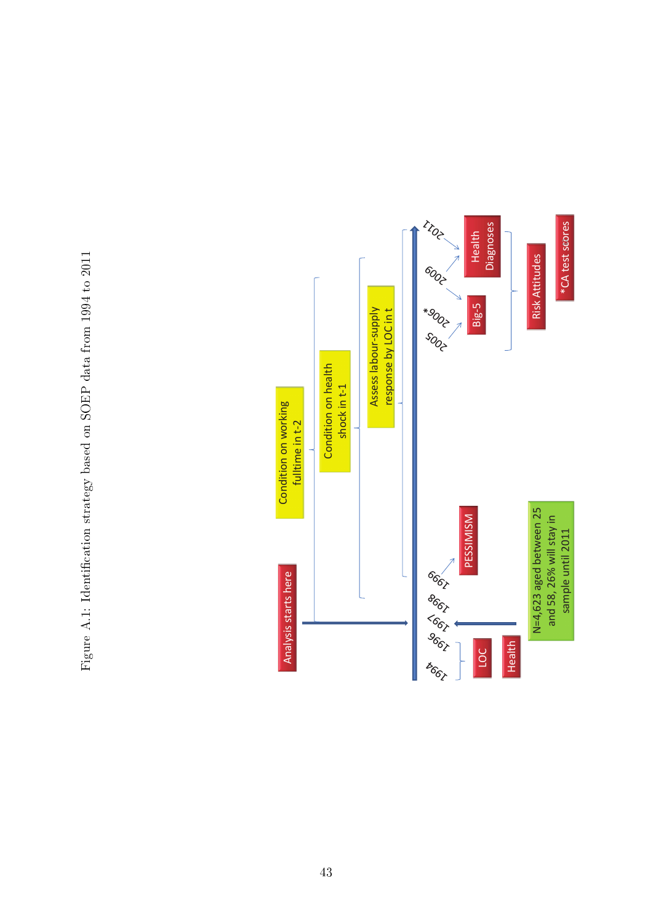

Figure A.1: Identification strategy based on SOEP data from 1994 to 2011 Figure A.1: Identification strategy based on SOEP data from 1994 to 2011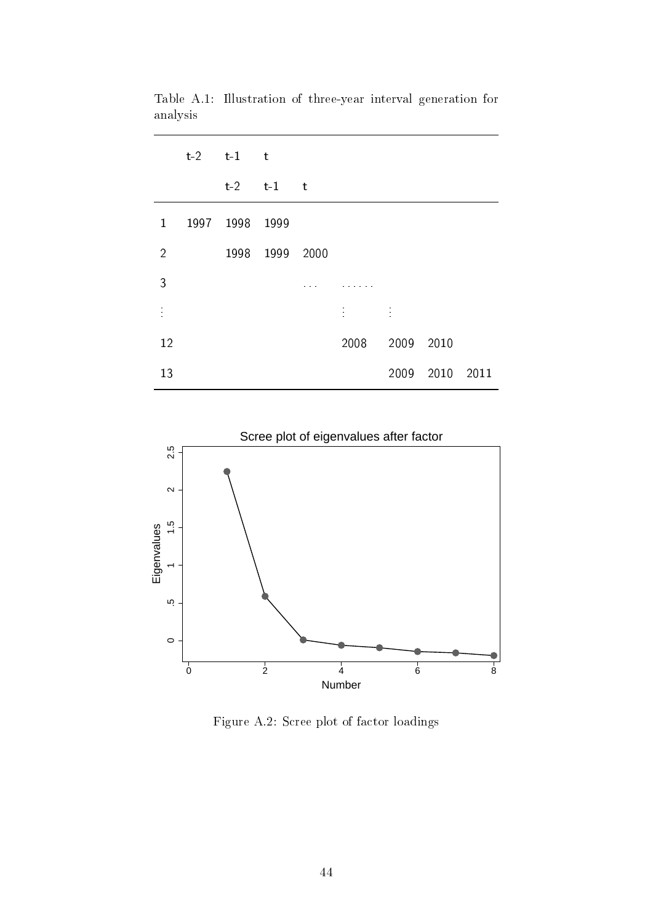|                | $t-2$ $t-1$ $t$ |                 |                             |                             |           |  |
|----------------|-----------------|-----------------|-----------------------------|-----------------------------|-----------|--|
|                |                 | $t-2$ $t-1$ $t$ |                             |                             |           |  |
| $\mathbf{1}$   | 1997 1998       | 1999            |                             |                             |           |  |
| $\overline{2}$ | 1998            | 1999 2000       |                             |                             |           |  |
| 3              |                 |                 |                             |                             |           |  |
|                |                 |                 | $\ddot{\ddot{\phantom{0}}}$ | $\mathcal{L}_{\mathcal{A}}$ |           |  |
| 12             |                 |                 | 2008                        | 2009                        | 2010      |  |
| 13             |                 |                 |                             | 2009                        | 2010 2011 |  |

Table A.1: Illustration of three-year interval generation for analysis



Figure A.2: Scree plot of factor loadings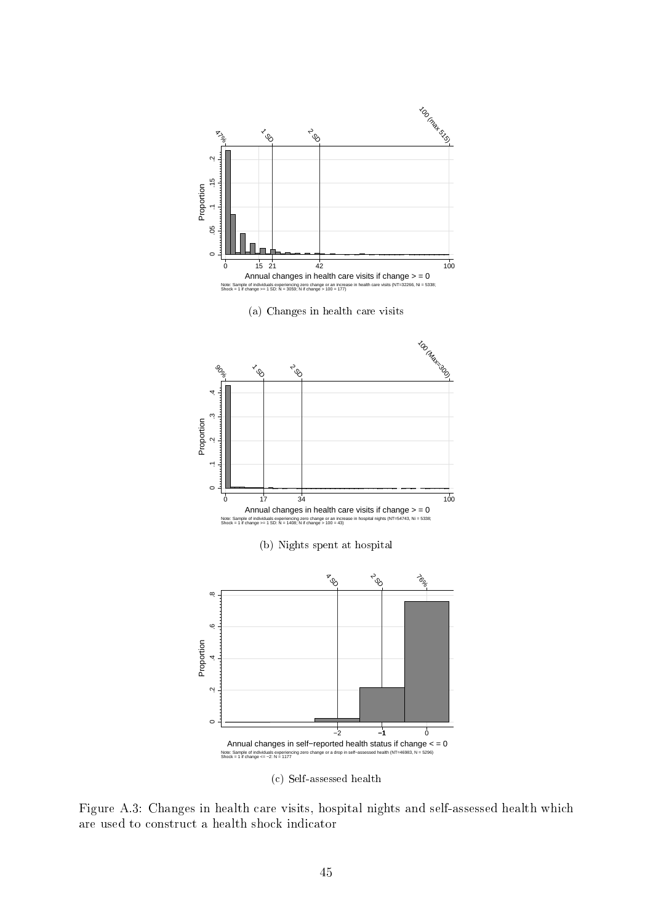

(c) Self-assessed health

Figure A.3: Changes in health care visits, hospital nights and self-assessed health which are used to construct a health shock indicator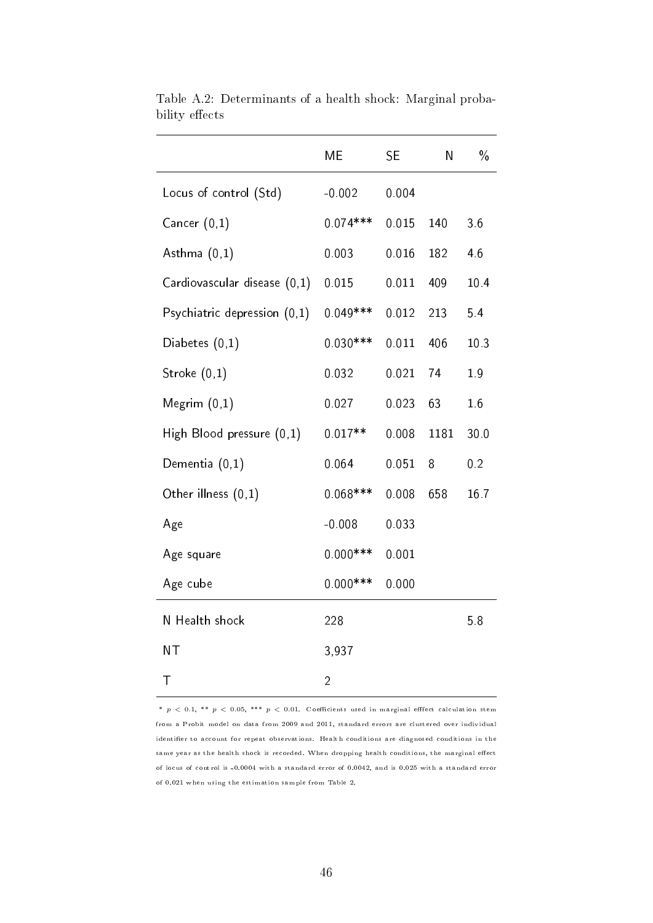|                              | ME             | <b>SE</b> | Ν    | $\frac{0}{0}$   |
|------------------------------|----------------|-----------|------|-----------------|
| Locus of control (Std)       | $-0.002$       | 0.004     |      |                 |
| Cancer $(0,1)$               | $0.074***$     | 0.015     | 140  | 3.6             |
| Asthma $(0,1)$               | 0.003          | 0.016     | 182  | 4.6             |
| Cardiovascular disease (0,1) | 0.015          | 0.011     | 409  | 10.4            |
| Psychiatric depression (0.1) | $0.049***$     | 0.012     | 213  | 54              |
| Diabetes $(0,1)$             | $0.030***$     | 0.011     | 406  | 10 <sub>3</sub> |
| Stroke $(0,1)$               | 0.032          | 0.021     | 74   | 19              |
| Megrim $(0,1)$               | 0.027          | 0.023     | 63   | 1.6             |
| High Blood pressure (0,1)    | $0.017**$      | 0.008     | 1181 | 30 0            |
| Dementia $(0,1)$             | 0.064          | 0.051     | 8    | 0.2             |
| Other illness (0,1)          | $0.068***$     | 0.008     | 658  | 16 <sub>7</sub> |
| Age                          | $-0.008$       | 0.033     |      |                 |
| Age square                   | $0.000***$     | 0.001     |      |                 |
| Age cube                     | $0.000***$     | 0.000     |      |                 |
| N Health shock               | 228            |           |      | 5.8             |
| <b>NT</b>                    | 3,937          |           |      |                 |
| Τ                            | $\overline{2}$ |           |      |                 |

Table A.2: Determinants of a health shock: Marginal probability effects

\*  $p$  < 0.1, \*\*  $p$  < 0.05, \*\*\*  $p$  < 0.01. Coefficients used in marginal effect calculation stem from a Probit model on data from 2009 and 2011, standard errors are clustered over individual identifier to account for repeat observations. Health conditions are diagnosed conditions in the same year as the health shock is recorded. When dropping health conditions, the marginal effect of locus of control is -0.0004 with a standard error of 0.0042, and is 0.025 with a standard error of 0.021 when using the estimation sample from Table 2.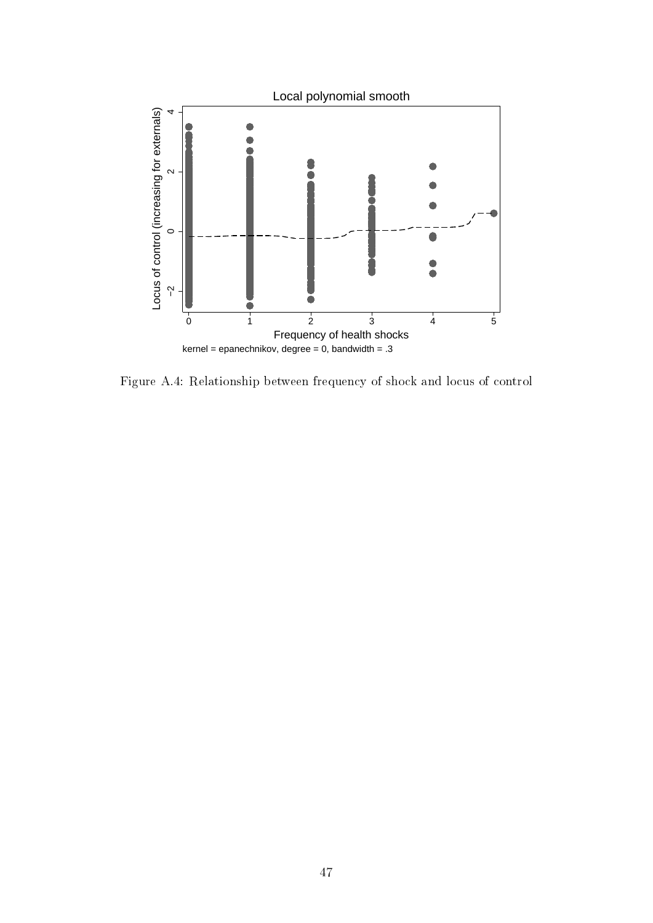

Figure A.4: Relationship between frequency of shock and locus of control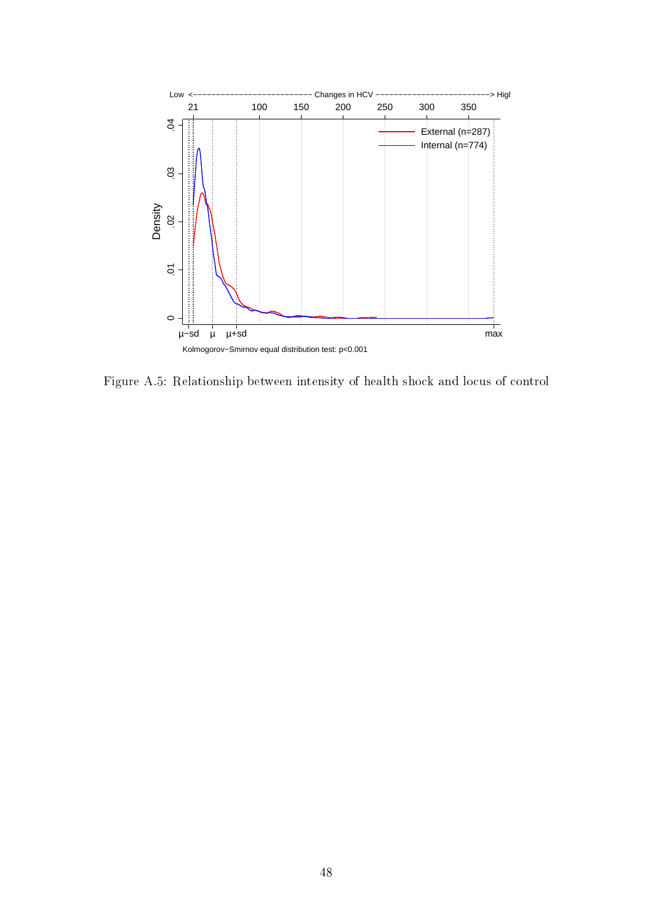

Figure A.5: Relationship between intensity of health shock and locus of control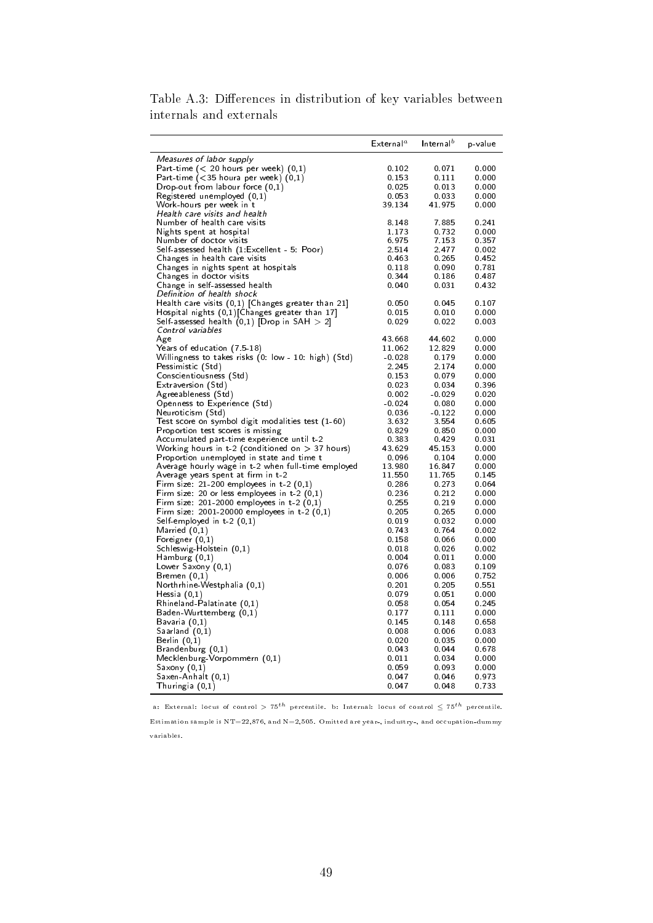|                                                                     | $\mathsf{External}^a$ | Internal <sup>b</sup> | p-value        |
|---------------------------------------------------------------------|-----------------------|-----------------------|----------------|
| <i>Measures of labor supply</i>                                     |                       |                       |                |
| Part-time $(< 20$ hours per week) $(0,1)$                           | 0.102                 | 0.071                 | 0.000          |
| Part-time $(<$ 35 houra per week) $(0,1)$                           | 0.153                 | 0.111                 | 0.000          |
| Drop-out from labour force $(0,1)$                                  | 0.025                 | 0.013                 | 0.000          |
| Registered unemployed (0,1)                                         | 0.053                 | 0.033                 | 0.000          |
| Work-hours per week in t                                            | 39 134                | 41 975                | 0.000          |
| Health care visits and health                                       |                       |                       |                |
| Number of health care visits                                        | 8.148                 | 7.885                 | 0.241          |
| Nights spent at hospital                                            | 1 1 7 3               | 0.732                 | 0.000          |
| Number of doctor visits                                             | 6.975                 | 7.153                 | 0.357          |
| Self-assessed health (1 Excellent - 5: Poor)                        | 2.514                 | 2.477                 | 0.002          |
| Changes in health care visits                                       | 0.463                 | 0.265                 | 0.452          |
| Changes in nights spent at hospitals                                | 0.118                 | 0.090                 | 0781           |
| Changes in doctor visits                                            | 0.344                 | 0.186                 | 0.487          |
| Change in self-assessed health                                      | 0.040                 | 0.031                 | 0.432          |
| Definition of health shock                                          |                       |                       |                |
| Health care visits $(0,1)$ [Changes greater than 21]                | 0.050                 | 0.045                 | 0 107          |
| Hospital nights $(0,1)$ Changes greater than 17                     | 0.015<br>0.029        | 0.010<br>0.022        | 0.000          |
| Self-assessed health (0,1) [Drop in SAH $>$ 2]<br>Control variables |                       |                       | 0.003          |
| Age                                                                 | 43.668                | 44.602                | 0.000          |
| Years of education (7 5-18)                                         | 11.062                | 12.829                | 0.000          |
| Willingness to takes risks (0 low - 10 high) (Std)                  | $-0.028$              | 0.179                 | 0.000          |
| Pessimistic (Std)                                                   | 2.245                 | 2.174                 | 0.000          |
| Conscientiousness (Std)                                             | 0.153                 | 0.079                 | 0.000          |
| Extraversion (Std)                                                  | 0.023                 | 0.034                 | 0.396          |
| Agreeableness (Std)                                                 | 0.002                 | $-0.029$              | 0.020          |
| Openness to Experience (Std)                                        | $-0.024$              | 0.080                 | 0.000          |
| Neuroticism (Std)                                                   | 0.036                 | $-0.122$              | 0.000          |
| Test score on symbol digit modalities test (1-60)                   | 3.632                 | 3.554                 | 0 605          |
| Proportion test scores is missing                                   | 0.829                 | 0.850                 | 0.000          |
| Accumulated part-time experience until t-2                          | 0.383                 | 0.429                 | 0.031          |
| Working hours in $t-2$ (conditioned on $> 37$ hours)                | 43.629                | 45.153                | 0.000          |
| Proportion unemployed in state and time t                           | 0.096                 | 0.104                 | 0.000          |
| Average hourly wage in t-2 when full-time employed                  | 13.980                | 16.847                | 0.000          |
| Average years spent at firm in t-2                                  | 11.550                | 11.765                | 0.145          |
| Firm size $21-200$ employees in t-2 $(0,1)$                         | 0.286                 | 0.273                 | 0.064          |
| Firm size 20 or less employees in $t-2$ $(0,1)$                     | 0.236                 | 0.212                 | 0.000          |
| Firm size $201-2000$ employees in t-2 $(0,1)$                       | 0.255                 | 0.219                 | 0.000          |
| Firm size: $2001-20000$ employees in t-2 $(0,1)$                    | 0.205                 | 0.265                 | 0.000          |
| Self-employed in t-2 (0,1)                                          | 0.019                 | 0.032                 | 0.000          |
| Married (0,1)                                                       | 0.743                 | 0 7 6 4               | 0.002          |
| Foreigner $(0,1)$                                                   | 0.158                 | 0.066                 | 0.000          |
| Schleswig-Holstein (0,1)                                            | 0.018<br>0.004        | 0.026<br>0.011        | 0.002          |
| Hamburg (0,1)                                                       | 0.076                 | 0.083                 | 0.000<br>0.109 |
| Lower Saxony (0,1)                                                  | 0.006                 | 0.006                 | 0.752          |
| Bremen (0,1)<br>Northrhine-Westphalia (0,1)                         | 0.201                 | 0 2 0 5               | 0551           |
| Hessia $(0,1)$                                                      | 0.079                 | 0.051                 | 0.000          |
| $R$ hineland-Palatinate $(0,1)$                                     | 0.058                 | 0.054                 | 0.245          |
| Baden-Wurttemberg (0,1)                                             | 0.177                 | 0.111                 | 0.000          |
| Bavaria (0,1)                                                       | 0.145                 | 0.148                 | 0.658          |
| Saarland $(0,1)$                                                    | 0.008                 | 0.006                 | 0.083          |
| Berlin $(0,1)$                                                      | 0.020                 | 0.035                 | 0.000          |
| Brandenburg (0,1)                                                   | 0.043                 | 0.044                 | 0.678          |
| Mecklenburg-Vorpommern (0,1)                                        | 0.011                 | 0.034                 | 0.000          |
| Saxony (0,1)                                                        | 0.059                 | 0.093                 | 0.000          |
| Saxen-Anhalt (0,1)                                                  | 0.047                 | 0.046                 | 0.973          |
| Thuringia (0,1)                                                     | 0.047                 | 0.048                 | 0.733          |

Table A.3: Differences in distribution of key variables between internals and externals

a: External: locus of control *<sup>&</sup>gt;* <sup>75</sup>*th* percentile. b: Internal: locus of control *<sup>≤</sup>* <sup>75</sup>*th* percentile.

Estimation sample is  $NT=22,876$ , and  $N=2,505$ . Omitted are year-, industry-, and occupation-dummy variables.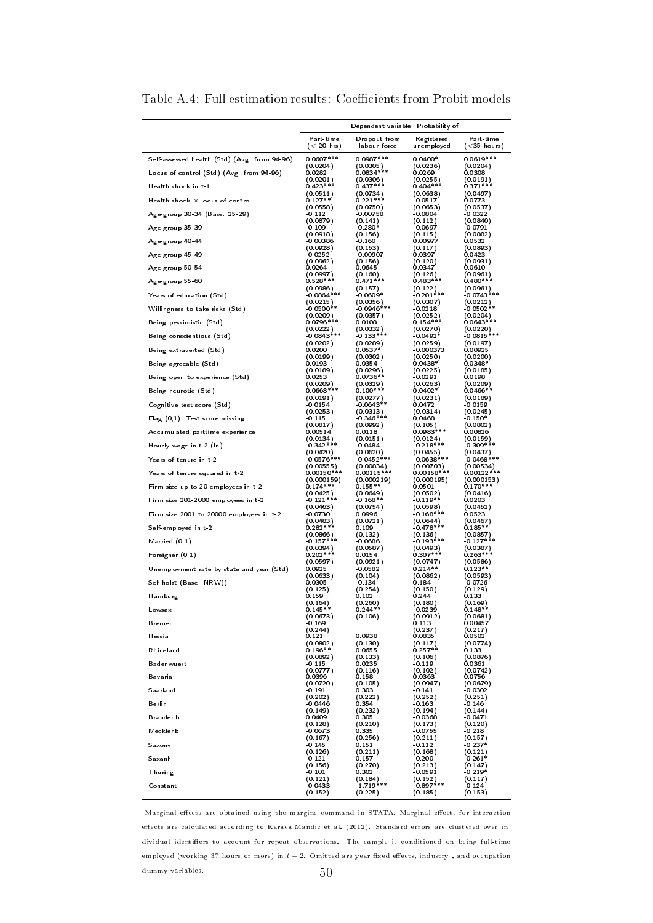|                                              | Dependent variable: Probability of |                       |                          |                         |  |  |  |
|----------------------------------------------|------------------------------------|-----------------------|--------------------------|-------------------------|--|--|--|
|                                              | Part-time                          | Dropout from          | Registered               | Part-time               |  |  |  |
|                                              | $(< 20$ hrs)                       | labour force          | un employe d             | ( <sub>35</sub> hours)  |  |  |  |
| Self-assessed health (Std) (Avg. from 94-96) | $0.0607***$<br>(0.0204)            | $0.0987***$           | $0.0400*$<br>(0.0236)    | $0.0619***$<br>(0.0204) |  |  |  |
| Locus of control (Std) (Avg. from 94-96)     | 0.0282                             | (0.0305)<br>0.0834*** | 0.0269                   | 0.0308                  |  |  |  |
|                                              | (0.0201)                           | (0.0306)              | (0.0255)                 | (0.0191)                |  |  |  |
| Health shock in t-1                          | $0.423***$                         | $0.437***$            | $0.404***$               | $0.371***$              |  |  |  |
| Health shock $\times$ locus of control       | (0.0511)                           | (0.0734)              | (0.0638)                 | (0.0497)                |  |  |  |
|                                              | $0.127**$                          | $0.221***$            | $-0.0517$                | 0.0773                  |  |  |  |
| Age-group 30-34 (Base: 25-29)                | (0.0558)                           | (0.0750)              | (0.0653)                 | (0.0537)                |  |  |  |
|                                              | $-0.112$                           | $-0.00758$            | $-0.0804$                | $-0.0322$               |  |  |  |
| Age-group 35-39                              | (0.0879)                           | (0.141)               | (0.112)                  | (0.0840)                |  |  |  |
|                                              | $-0.109$                           | -0.280*               | -0.0697                  | -0.0791                 |  |  |  |
| Age-group 40-44                              | (0.0918)                           | (0.156)               | (0.115)                  | (0.0882)                |  |  |  |
|                                              | $-0.00386$                         | - 0.160               | 0.00977                  | 0.0532                  |  |  |  |
| Age-group 45-49                              | (0.0928)                           | (0.153)               | (0.117)                  | (0.0893)                |  |  |  |
|                                              | -0.0252                            | - 0.00907             | 0.0397                   | 0.0423                  |  |  |  |
| Age-group 50-54                              | (0.0962)                           | (0.156)               | (0.120)                  | (0.0931)                |  |  |  |
|                                              | 0.0264                             | 0.0645                | 0.0347                   | 0.0610                  |  |  |  |
| Age-group 55-60                              | (0.0997)                           | (0.160)               | (0.126)                  | (0.0961)                |  |  |  |
|                                              | $0.528***$                         | $0.471***$            | $0.483***$               | $0.480***$              |  |  |  |
| Years of education (Std)                     | (0.0986)                           | (0.157)               | (0.122)                  | (0.0961)                |  |  |  |
|                                              | $-0.0864***$                       | $-0.0609*$            | $-0.201***$              | $-0.0743***$            |  |  |  |
| Willingness to take risks (Std)              | (0.0215)                           | (0.0356)              | (0.0307)                 | (0.0212)                |  |  |  |
|                                              | $-0.0500**$                        | $-0.0946***$          | $-0.0218$                | $-0.0502**$             |  |  |  |
| Being pessimistic (Std)                      | (0.0209)                           | (0.0357)              | (0.0252)                 | (0.0204)                |  |  |  |
|                                              | $0.0796***$                        | 0.0108                | $0.154***$               | $0.0643***$             |  |  |  |
| Being conscientious (Std)                    | (0.0222)                           | (0.0332)              | (0.0270)                 | (0.0220)                |  |  |  |
|                                              | $-0.0843***$                       | $0.133**$             | -0.0492*                 | $-0.0815***$            |  |  |  |
| Being extraverted (Std)                      | (0.0202)                           | (0.0289)              | (0.0259)                 | (0.0197)                |  |  |  |
|                                              | 0.0200                             | $0.0537*$             | $-0.000373$              | 0.00925                 |  |  |  |
|                                              | (0.0199)                           | (0.0302)              | (0.0250)                 | (0.0200)                |  |  |  |
| Being agreeable (Std)                        | 0.0193                             | 0.0354                | $0.0438*$                | $0.0348*$               |  |  |  |
|                                              | (0.0189)                           | (0.0296)              | (0.0225)                 | (0.0185)                |  |  |  |
| Being open to experience (Std)               | 0.0253                             | $0.0736**$            | -0.0291                  | 0.0198                  |  |  |  |
|                                              | (0.0209)                           | (0.0329)              | (0.0263)                 | (0.0209)                |  |  |  |
| Being neurotic (Std)                         | $0.0668***$                        | $0.100***$            | $0.0402*$                | $0.0466**$              |  |  |  |
|                                              | (0.0191)                           | (0.0277)              | (0.0231)                 | (0.0189)                |  |  |  |
| Cognitive test score (Std)                   | $-0.0154$                          | $-0.0643**$           | 0.0472                   | $-0.0159$               |  |  |  |
|                                              | (0.0253)                           | (0.0313)              | (0.0314)                 | (0.0245)                |  |  |  |
| Flag (0.1): Test score missing               | $-0.115$                           | $-0.346***$           | 0.0468                   | - 0.150*                |  |  |  |
|                                              | (0.0817)                           | (0.0992)              | (0.105)                  | (0.0802)                |  |  |  |
| Accumulated parttime experience              | 0.00514                            | 0.0118                | $0.0983***$              | 0.00826                 |  |  |  |
|                                              | (0.0134)                           | (0.0151)              | (0.0124)                 | (0.0159)                |  |  |  |
| Hourly wage in t-2 (ln)                      | $-0.342***$                        | $-0.0484$             | $-0.218***$              | $-0.309***$             |  |  |  |
|                                              | (0.0420)                           | (0.0620)              | (0.0455)                 | (0.0437)                |  |  |  |
| Years of tenure in t-2                       | $-0.0576***$                       | $-0.0452***$          | $0.0638***$              | $0.0468***$             |  |  |  |
|                                              | (0.00555)                          | (0.00834)             | (0.00703)                | (0.00534)               |  |  |  |
| Years of tenure squared in t-2               | $0.00150***$                       | $0.00115***$          | $0.00158***$             | $0.00122***$            |  |  |  |
|                                              | (0.000159)                         | (0.000219)            | (0.000195)               | (0.000153)              |  |  |  |
| Firm size up to 20 employees in t-2          | $0.174***$<br>(0.0425)             | $0.155**$<br>(0.0649) | 0.0501                   | $0.170***$<br>(0.0416)  |  |  |  |
| Firm size 201-2000 employees in t-2          | $-0.121***$                        | $-0.168**$            | (0.0502)<br>$-0.119**$   | 0.0203                  |  |  |  |
| Firm size 2001 to 20000 employees in t-2     | (0.0463)                           | (0.0754)              | (0.0598)                 | (0.0452)                |  |  |  |
|                                              | $-0.0730$                          | 0.0996                | $0.168***$               | 0.0523                  |  |  |  |
| Self-employed in t-2                         | (0.0483)                           | (0.0721)              | (0.0644)                 | (0.0467)                |  |  |  |
|                                              | $0.282***$                         | 0.109                 | $0.478***$               | $0.185**$               |  |  |  |
| Married (0,1)                                | (0.0866)                           | (0.132)               | (0.136)                  | (0.0857)                |  |  |  |
|                                              | $-0.157***$                        | -0.0686               | $-0.193***$              | $-0.127***$             |  |  |  |
| Foreigner (0.1)                              | (0.0394)<br>$0.202***$             | (0.0587)<br>0.0154    | $(0.0493)$<br>$0.307***$ | (0.0387)<br>$0.263***$  |  |  |  |
| Unemployment rate by state and year (Std)    | (0.0597)                           | (0.0921)              | (0.0747)                 | (0.0586)                |  |  |  |
|                                              | 0.0925                             | $-0.0582$             | $0.214**$                | $0.123**$               |  |  |  |
| Schiholst (Base: NRW))                       | (0.0633)                           | (0.104)               | (0.0862)                 | (0.0593)                |  |  |  |
|                                              | 0.0305                             | -0.134                | 0.184                    | -0.0726                 |  |  |  |
| Hamburg                                      | (0.125)                            | (0.254)               | (0.150)                  | (0.129)                 |  |  |  |
|                                              | 0.159                              | 0.102                 | 0.244                    | 0 1 3 3                 |  |  |  |
| Lowsax                                       | (0.164)                            | (0.260)               | (0.180)                  | (0.169)                 |  |  |  |
|                                              | $0.145**$                          | $0.244**$             | $-0.0239$                | $0.148**$               |  |  |  |
| Bremen                                       | (0.0673)<br>-0.169                 | (0.106)               | (0.0912)<br>0.113        | (0.0681)<br>0.00457     |  |  |  |
| Hessia                                       | (0.244)<br>0.121                   | 0.0938                | (0.237)<br>0.0835        | (0.217)<br>0.0502       |  |  |  |
| Rhineland                                    | (0.0802)                           | (0.130)               | (0.117)                  | (0.0774)                |  |  |  |
|                                              | $0.196**$                          | 0.0655                | $0.257**$                | 0.133                   |  |  |  |
| Badenwuert                                   | (0.0892)                           | (0.133)               | (0.106)                  | (0.0876)                |  |  |  |
| Bavaria                                      | $-0.115$                           | 0.0235                | $-0.119$                 | 0.0361                  |  |  |  |
|                                              | (0.0777)                           | (0.116)               | (0.102)                  | (0.0742)                |  |  |  |
|                                              | 0.0396                             | 0.158                 | 0.0363                   | 0.0756                  |  |  |  |
|                                              | (0.0720)                           | (0.105)               | (0.0947)                 | (0.0679)                |  |  |  |
| Saarland                                     | $-0.191$                           | 0.303                 | $-0.141$                 | $-0.0302$               |  |  |  |
|                                              | (0.202)                            | (0.222)               | (0.252)                  | (0.251)                 |  |  |  |
| Berlin                                       | $-0.0446$                          | 0.354                 | -0.163                   | -0.146                  |  |  |  |
|                                              | (0.149)                            | (0.232)               | (0.194)                  | (0.144)                 |  |  |  |
| <b>Brandenb</b>                              | 0.0409                             | 0.305                 | $-0.0368$                | $-0.0471$               |  |  |  |
|                                              | (0.128)                            | (0.210)               | (0.173)                  | (0.120)                 |  |  |  |
| Mecklenb                                     | $-0.0673$                          | 0.335                 | $-0.0755$                | $-0.218$                |  |  |  |
|                                              | (0.167)                            | (0.256)               | (0.211)                  | (0.157)                 |  |  |  |
| Saxony                                       | $-0.145$                           | 0.151                 | $-0.112$                 | $-0.237*$               |  |  |  |
|                                              | (0.126)                            | (0.211)               | (0.168)                  | (0.121)                 |  |  |  |
| Saxanh                                       | -0.121                             | 0.157                 | $-0.200$                 | $-0.261*$               |  |  |  |
|                                              | (0.156)                            | (0.270)               | (0.213)                  | (0.147)                 |  |  |  |
| <b>Thuring</b>                               | $-0.101$                           | 0.302                 | $-0.0591$                | $-0.219*$               |  |  |  |
|                                              | (0.121)                            | (0.184)               | (0.152)                  | (0.117)                 |  |  |  |
| Constant                                     | $-0.0433$                          | $-1.719***$           | $-0.897***$              | $-0.124$                |  |  |  |
|                                              | (0.152)                            | (0.225)               | (0.185)                  | (0.153)                 |  |  |  |

Table A.4: Full estimation results: Coefficients from Probit models

Marginal effects are obtained using the margins command in STATA. Marginal effects for interaction effects are calculated according to Karaca-Mandic et al. (2012). Standard errors are clustered over individual identiers to account for repeat observations. The sample is conditioned on being full-time employed (working 37 hours or more) in *t* − 2. Omitted are year-fixed effects, industry-, and occupation dummy variables.  $50$